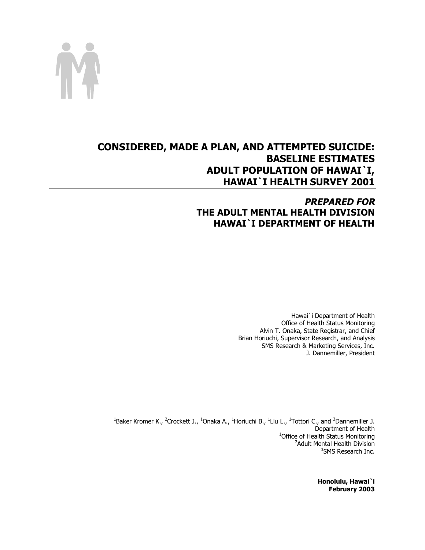

# **CONSIDERED, MADE A PLAN, AND ATTEMPTED SUICIDE: BASELINE ESTIMATES ADULT POPULATION OF HAWAI`I, HAWAI`I HEALTH SURVEY 2001**

# **PREPARED FOR THE ADULT MENTAL HEALTH DIVISION HAWAI`I DEPARTMENT OF HEALTH**

Hawai`i Department of Health Office of Health Status Monitoring Alvin T. Onaka, State Registrar, and Chief Brian Horiuchi, Supervisor Research, and Analysis SMS Research & Marketing Services, Inc. J. Dannemiller, President

<sup>1</sup>Baker Kromer K., <sup>2</sup>Crockett J., <sup>1</sup>Onaka A., <sup>1</sup>Horiuchi B., <sup>1</sup>Liu L., <sup>1</sup>Tottori C., and <sup>3</sup>Dannemiller J. Department of Health<br><sup>1</sup>Office of Health Status Monitoring Office of Health Status Monitoring<br><sup>2</sup>Adult Mental Health Division <sup>2</sup> Adult Mental Health Division <sup>3</sup>SMS Research Inc.

> **Honolulu, Hawai`i February 2003**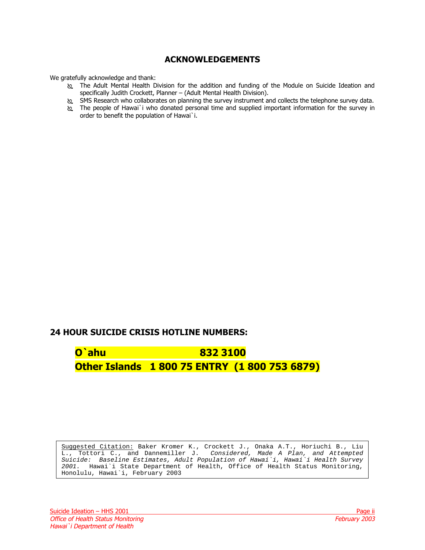# **ACKNOWLEDGEMENTS**

<span id="page-1-0"></span>We gratefully acknowledge and thank:

- ! The Adult Mental Health Division for the addition and funding of the Module on Suicide Ideation and specifically Judith Crockett, Planner – (Adult Mental Health Division).
- to SMS Research who collaborates on planning the survey instrument and collects the telephone survey data.
- ! The people of Hawai`i who donated personal time and supplied important information for the survey in order to benefit the population of Hawai`i.

# **24 HOUR SUICIDE CRISIS HOTLINE NUMBERS:**

**O`ahu 832 3100 Other Islands 1 800 75 ENTRY (1 800 753 6879)** 

Suggested Citation: Baker Kromer K., Crockett J., Onaka A.T., Horiuchi B., Liu L., Tottori C., and Dannemiller J. Considered, Made A Plan, and Attempted Suicide: Baseline Estimates, Adult Population of Hawai`i, Hawai`i Health Survey 2001. Hawai`i State Department of Health, Office of Health Status Monitoring, Honolulu, Hawai`i, February 2003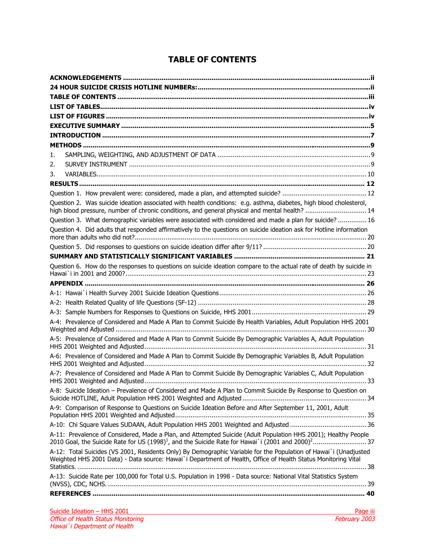# **TABLE OF CONTENTS**

| 1.                                                                                                                                                                                                                                |  |
|-----------------------------------------------------------------------------------------------------------------------------------------------------------------------------------------------------------------------------------|--|
| 2.                                                                                                                                                                                                                                |  |
| 3.                                                                                                                                                                                                                                |  |
|                                                                                                                                                                                                                                   |  |
|                                                                                                                                                                                                                                   |  |
| Question 2. Was suicide ideation associated with health conditions: e.g. asthma, diabetes, high blood cholesterol,<br>high blood pressure, number of chronic conditions, and general physical and mental health?  14              |  |
| Question 3. What demographic variables were associated with considered and made a plan for suicide?  16                                                                                                                           |  |
| Question 4. Did adults that responded affirmatively to the questions on suicide ideation ask for Hotline information                                                                                                              |  |
|                                                                                                                                                                                                                                   |  |
|                                                                                                                                                                                                                                   |  |
| Question 6. How do the responses to questions on suicide ideation compare to the actual rate of death by suicide in                                                                                                               |  |
|                                                                                                                                                                                                                                   |  |
|                                                                                                                                                                                                                                   |  |
|                                                                                                                                                                                                                                   |  |
|                                                                                                                                                                                                                                   |  |
| A-4: Prevalence of Considered and Made A Plan to Commit Suicide By Health Variables, Adult Population HHS 2001                                                                                                                    |  |
| A-5: Prevalence of Considered and Made A Plan to Commit Suicide By Demographic Variables A, Adult Population                                                                                                                      |  |
| A-6: Prevalence of Considered and Made A Plan to Commit Suicide By Demographic Variables B, Adult Population                                                                                                                      |  |
| A-7: Prevalence of Considered and Made A Plan to Commit Suicide By Demographic Variables C, Adult Population                                                                                                                      |  |
| A-8: Suicide Ideation - Prevalence of Considered and Made A Plan to Commit Suicide By Response to Question on                                                                                                                     |  |
| A-9: Comparison of Response to Questions on Suicide Ideation Before and After September 11, 2001, Adult                                                                                                                           |  |
|                                                                                                                                                                                                                                   |  |
| A-11: Prevalence of Considered, Made a Plan, and Attempted Suicide (Adult Population HHS 2001); Healthy People                                                                                                                    |  |
| A-12: Total Suicides (VS 2001, Residents Only) By Demographic Variable for the Population of Hawai`i (Unadjusted<br>Weighted HHS 2001 Data) - Data source: Hawai`i Department of Health, Office of Health Status Monitoring Vital |  |
| A-13: Suicide Rate per 100,000 for Total U.S. Population in 1998 - Data source: National Vital Statistics System                                                                                                                  |  |
|                                                                                                                                                                                                                                   |  |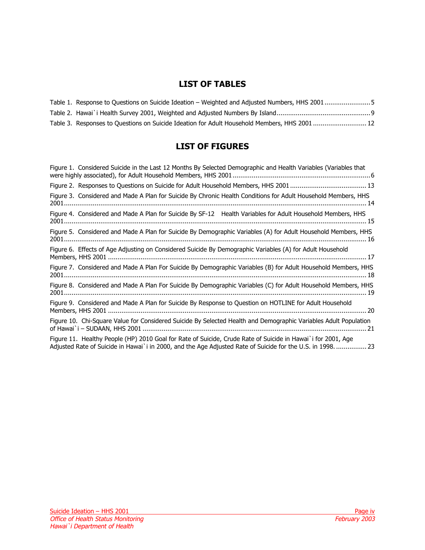# **LIST OF TABLES**

<span id="page-3-0"></span>

| Table 1. Response to Questions on Suicide Ideation - Weighted and Adjusted Numbers, HHS 20015 |  |
|-----------------------------------------------------------------------------------------------|--|
|                                                                                               |  |
| Table 3. Responses to Questions on Suicide Ideation for Adult Household Members, HHS 2001  12 |  |

# **LIST OF FIGURES**

| Figure 1. Considered Suicide in the Last 12 Months By Selected Demographic and Health Variables (Variables that                                                                                                           |
|---------------------------------------------------------------------------------------------------------------------------------------------------------------------------------------------------------------------------|
|                                                                                                                                                                                                                           |
| Figure 3. Considered and Made A Plan for Suicide By Chronic Health Conditions for Adult Household Members, HHS                                                                                                            |
| Figure 4. Considered and Made A Plan for Suicide By SF-12® Health Variables for Adult Household Members, HHS                                                                                                              |
| Figure 5. Considered and Made A Plan for Suicide By Demographic Variables (A) for Adult Household Members, HHS                                                                                                            |
| Figure 6. Effects of Age Adjusting on Considered Suicide By Demographic Variables (A) for Adult Household                                                                                                                 |
| Figure 7. Considered and Made A Plan For Suicide By Demographic Variables (B) for Adult Household Members, HHS                                                                                                            |
| Figure 8. Considered and Made A Plan For Suicide By Demographic Variables (C) for Adult Household Members, HHS                                                                                                            |
| Figure 9. Considered and Made A Plan for Suicide By Response to Question on HOTLINE for Adult Household                                                                                                                   |
| Figure 10. Chi-Square Value for Considered Suicide By Selected Health and Demographic Variables Adult Population<br>. 21                                                                                                  |
| Figure 11. Healthy People (HP) 2010 Goal for Rate of Suicide, Crude Rate of Suicide in Hawai`i for 2001, Age<br>Adjusted Rate of Suicide in Hawai`i in 2000, and the Age Adjusted Rate of Suicide for the U.S. in 1998 23 |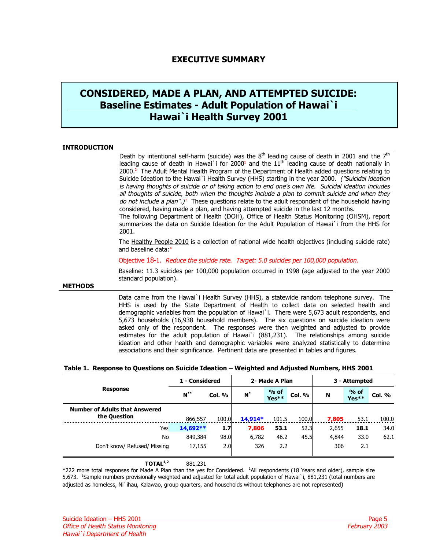# **EXECUTIVE SUMMARY**

# <span id="page-4-0"></span>**CONSIDERED, MADE A PLAN, AND ATTEMPTED SUICIDE: Baseline Estimates - Adult Population of Hawai`i Hawai`i Health Survey 2001**

### **INTRODUCTION**

2001.

Death by intentional self-harm (suicide) was the  $8<sup>th</sup>$  leading cause of death in 2001 and the  $7<sup>th</sup>$ leading cause of death in Hawai`i for 2000<sup>1</sup> and the  $11<sup>th</sup>$  leading cause of death nationally in  $2000<sup>2</sup>$  The Adult Mental Health Program of the Department of Health added questions relating to Suicide Ideation to the Hawai`i Health Survey (HHS) starting in the year 2000. ("Suicidal ideation is having thoughts of suicide or of taking action to end one's own life. Suicidal ideation includes all thoughts of suicide, [b](#page-39-0)oth when the thoughts include a plan to commit suicide and when they do not include a plan".)<sup>3</sup> These questions relate to the adult respondent of the household having considered, having made a plan, and having attempted suicide in the last 12 months. The following Department of Health (DOH), Office of Health Status Monitoring (OHSM), report summarizes the data on Suicide Ideation for the Adult Population of Hawai`i from the HHS for

The Healthy People 2010 is a collection of national wide health objectives (including suicide rate) and baseline data:<sup>4</sup>

Objective 18-1. Reduce the suicide rate. Target: 5.0 suicides per 100,000 population.

Baseline: 11.3 suicides per 100,000 population occurred in 1998 (age adjusted to the year 2000 standard population).

#### **METHODS**

Data came from the Hawai`i Health Survey (HHS), a statewide random telephone survey. The HHS is used by the State Department of Health to collect data on selected health and demographic variables from the population of Hawai`i. There were 5,673 adult respondents, and 5,673 households (16,938 household members). The six questions on suicide ideation were asked only of the respondent. The responses were then weighted and adjusted to provide estimates for the adult population of Hawai`i (881,231). The relationships among suicide ideation and other health and demographic variables were analyzed statistically to determine associations and their significance. Pertinent data are presented in tables and figures.

### **Table 1. Response to Questions on Suicide Ideation – Weighted and Adjusted Numbers, HHS 2001**

|                                                       | 1 - Considered |        |         | 2- Made A Plan  |        | 3 - Attempted |                 |               |  |
|-------------------------------------------------------|----------------|--------|---------|-----------------|--------|---------------|-----------------|---------------|--|
| <b>Response</b>                                       | $N^{\ast\ast}$ | Col. % | $N^*$   | $%$ of<br>Yes** | Col. % | N             | $%$ of<br>Yes** | <b>Col. %</b> |  |
| <b>Number of Adults that Answered</b><br>the Question | 866.557        | 100.0  | 14,914* | 101.5           | 100.0  | 7,805         | 53.1            | 100.0         |  |
| Yes                                                   | 14,692 **      | 1.7    | 7,806   | 53.1            | 52.3   | 2,655         | 18.1            | 34.0          |  |
| No                                                    | 849,384        | 98.0   | 6,782   | 46.2            | 45.5   | 4,844         | 33.0            | 62.1          |  |
| Don't know/ Refused/ Missing                          | 17,155         | 2.0    | 326     | 2.2             |        | 306           | 2.1             |               |  |

### **TOTAL1,2** 881,231

\*222 more total responses for Made A Plan than the yes for Considered. <sup>1</sup> All respondents (18 Years and older), sample size 5,673. <sup>2</sup>Sample numbers provisionally weighted and adjusted for total adult population of Hawai`i, 881,231 (total numbers are adjusted as homeless, Ni`ihau, Kalawao, group quarters, and households without telephones are not represented)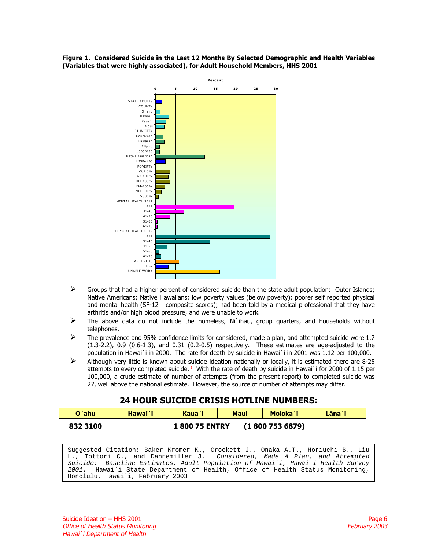<span id="page-5-0"></span>



- $\triangleright$  Groups that had a higher percent of considered suicide than the state adult population: Outer Islands; Native Americans; Native Hawaiians; low poverty values (below poverty); poorer self reported physical and mental health (SF-12<sup>®</sup> composite scores); had been told by a medical professional that they have arthritis and/or high blood pressure; and were unable to work.
- $\triangleright$  The above data do not include the homeless, Ni`ihau, group quarters, and households without telephones.
- The prevalence and 95% confidence limits for considered, made a plan, and attempted suicide were 1.7  $(1.3-2.2)$ , 0.9  $(0.6-1.3)$ , and 0.31  $(0.2-0.5)$  respectively. These estimates are age-adjusted to the population in Hawai`i in 2000. The rate for death by suicide in Hawai`i in 2001 was 1.12 per 100,000.
- $\triangleright$  Although very little is known about suicide ideation nationally or locally, it is estimated there are 8-25 attempts to every completed suicide.<sup>5</sup> With the rate of death by suicide in Hawai`i for 2000 of 1.15 per 100,000, a crude estimate of number of attempts (from the present report) to completed suicide was 27, well above the national estimate. However, the source of number of attempts may differ.

# **24 HOUR SUICIDE CRISIS HOTLINE NUMBERS:**

| O`ahu    | Hawai`i | Kaua`i              | Lāna`i |               |  |
|----------|---------|---------------------|--------|---------------|--|
| 832 3100 |         | <b>180075 ENTRY</b> |        | (18007536879) |  |

Suggested Citation: Baker Kromer K., Crockett J., Onaka A.T., Horiuchi B., Liu L., Tottori C., and Dannemiller J. Considered, Made A Plan, and Attempted Suicide: Baseline Estimates, Adult Population of Hawai`i, Hawai`i Health Survey 2001. Hawai`i State Department of Health, Office of Health Status Monitoring, Honolulu, Hawai`i, February 2003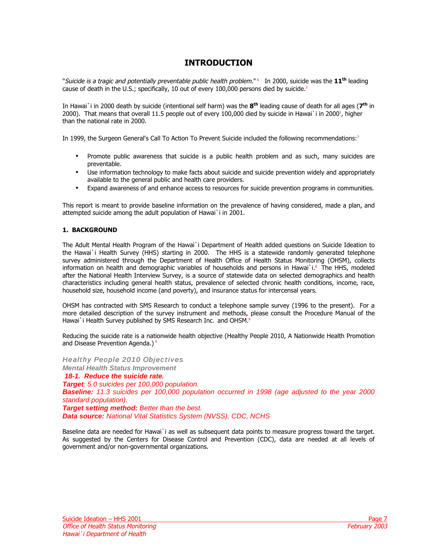# **INTRODUCTION**

<span id="page-6-0"></span>"Suicide is a tragic and potentially preventable public health problem." [6](#page-39-0) In 2000, suicide was the **11th** leading cause of death in the U.S.; specifically, 10 out of every 100,000 persons died by suicide.<sup>2</sup>

In Hawai`i in 2000 death by suicide (intentional self harm) was the **8th** leading cause of death for all ages (**7th** in 2000). That means that overall 11.5 people out of every 100,000 died by suicide in Hawai`i in 2000<sup>1</sup>, higher than the national rate in 2000.

In 1999, the Surgeon General's Call To Action To Prevent Suicide included the following recommendations:<sup>7</sup>

- Promote public awareness that suicide is a public health problem and as such, many suicides are preventable.
- Use information technology to make facts about suicide and suicide prevention widely and appropriately available to the general public and health care providers.
- Expand awareness of and enhance access to resources for suicide prevention programs in communities.

This report is meant to provide baseline information on the prevalence of having considered, made a plan, and attempted suicide among the adult population of Hawai`i in 2001.

## **1. BACKGROUND**

The Adult Mental Health Program of the Hawai`i Department of Health added questions on Suicide Ideation to the Hawai`i Health Survey (HHS) starting in 2000. The HHS is a statewide randomly generated telephone survey administered through the Department of Health Office of Health Status Monitoring (OHSM), collects information on health and demographic variables of households and persons in Hawai`i.<sup>8</sup> The HHS, modeled after the National Health Interview Survey, is a source of statewide data on selected demographics and health characteristics including general health status, prevalence of selected chronic health conditions, income, race, household size, household income (and poverty), and insurance status for intercensal years.

OHSM has contracted with SMS Research to conduct a telephone sample survey (1996 to the present). For a more detailed description of the survey instrument and methods, please consult the Procedure Manual of the Hawai`i Health Survey published by SMS Research Inc. and OHSM.<sup>9</sup>

Reducing the suicide rate is a nationwide health objective (Healthy People 2010, A Nationwide Health Promotion and Disease Prevention Agenda.)<sup>4</sup>

**Healthy People 2010 Objectives** *Mental Health Status Improvement 18-1. Reduce the suicide rate. Target: 5.0 suicides per 100,000 population. Baseline: 11.3 suicides per 100,000 population occurred in 1998 (age adjusted to the year 2000 standard population). Target setting method: Better than the best. Data source: National Vital Statistics System (NVSS), CDC, NCHS* 

Baseline data are needed for Hawai`i as well as subsequent data points to measure progress toward the target. As suggested by the Centers for Disease Control and Prevention (CDC), data are needed at all levels of government and/or non-governmental organizations.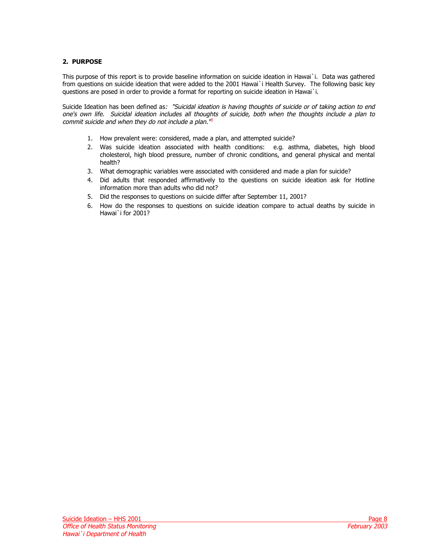# **2. PURPOSE**

This purpose of this report is to provide baseline information on suicide ideation in Hawai`i. Data was gathered from questions on suicide ideation that were added to the 2001 Hawai`i Health Survey. The following basic key questions are posed in order to provide a format for reporting on suicide ideation in Hawai`i.

Suicide Ideation has been defined as: "Suicidal ideation is having thoughts of suicide or of taking action to end one's own life. Suicidal ideation includes all thou[ghts](#page-39-0) of suicide, both when the thoughts include a plan to commit suicide and when they do not include a plan.<sup>18</sup>

- 1. How prevalent were: considered, made a plan, and attempted suicide?
- 2. Was suicide ideation associated with health conditions: e.g. asthma, diabetes, high blood cholesterol, high blood pressure, number of chronic conditions, and general physical and mental health?
- 3. What demographic variables were associated with considered and made a plan for suicide?
- 4. Did adults that responded affirmatively to the questions on suicide ideation ask for Hotline information more than adults who did not?
- 5. Did the responses to questions on suicide differ after September 11, 2001?
- 6. How do the responses to questions on suicide ideation compare to actual deaths by suicide in Hawai`i for 2001?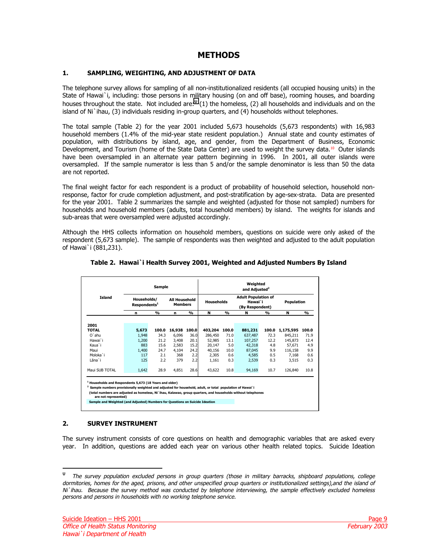# **METHODS**

# <span id="page-8-2"></span><span id="page-8-0"></span>**1. SAMPLING, WEIGHTING, AND ADJUSTMENT OF DATA**

The telephone survey allows for sampling of all non-institutionalized residents (all occupied housing units) in the State of Hawai`i, including: those persons in military housing (on and off base), rooming houses, and boarding houses throughout the state. Not included are: $^{\psi}$  (1) the homeless, (2) all households and individuals and on the island of Ni`ihau, (3) individuals residing in-group quarters, and (4) households without telephones.

The total sample (Table 2) for the year 2001 included 5,673 households (5,673 respondents) with 16,983 household members (1.4% of the mid-year state resident population.) Annual state and county estimates of population, with distributions by island, age, and gender, from the Department of Business, Economic Development, and Tourism (home of the State Data Center) are used to weight the survey data.<sup>10</sup> Outer islands have been oversampled in an alternate year pattern beginning in 1996. In 2001, all outer islands were oversampled. If the sample numerator is less than 5 and/or the sample denominator is less than 50 the data are not reported.

The final weight factor for each respondent is a product of probability of household selection, household nonresponse, factor for crude completion adjustment, and post-stratification by age-sex-strata. Data are presented for the year 2001. Table 2 summarizes the sample and weighted (adjusted for those not sampled) numbers for households and household members (adults, total household members) by island. The weights for islands and sub-areas that were oversampled were adjusted accordingly.

Although the HHS collects information on household members, questions on suicide were only asked of the respondent (5,673 sample). The sample of respondents was then weighted and adjusted to the adult population of Hawai`i (881,231).

<span id="page-8-1"></span>

|                |                                         | <b>Sample</b> |        | Weighted<br>and Adjusted <sup>2</sup>  |         |                   |                                                          |       |            |       |  |
|----------------|-----------------------------------------|---------------|--------|----------------------------------------|---------|-------------------|----------------------------------------------------------|-------|------------|-------|--|
| Island         | Households/<br>Respondents <sup>1</sup> |               |        | <b>All Household</b><br><b>Members</b> |         | <b>Households</b> | <b>Adult Population of</b><br>Hawai`i<br>(By Respondent) |       | Population |       |  |
|                | n                                       | $\frac{0}{0}$ | n      | %                                      | N       | %                 | N                                                        | %     | N          | %     |  |
| 2001           |                                         |               |        |                                        |         |                   |                                                          |       |            |       |  |
| <b>TOTAL</b>   | 5,673                                   | 100.0         | 16,938 | 100.0                                  | 403,204 | 100.0             | 881,231                                                  | 100.0 | 1,175,595  | 100.0 |  |
| O'ahu          | 1,948                                   | 34.3          | 6.096  | 36.0                                   | 286,450 | 71.0              | 637,487                                                  | 72.3  | 845,211    | 71.9  |  |
| Hawai`i        | 1,200                                   | 21.2          | 3,408  | 20.1                                   | 52,985  | 13.1              | 107,257                                                  | 12.2  | 145,873    | 12.4  |  |
| Kaua`i         | 883                                     | 15.6          | 2.583  | 15.2                                   | 20,147  | 5.0               | 42,318                                                   | 4.8   | 57,671     | 4.9   |  |
| Maui           | 1,400                                   | 24.7          | 4,104  | 24.2                                   | 40,156  | 10.0              | 87,045                                                   | 9.9   | 116,158    | 9.9   |  |
| Moloka`i       | 117                                     | 2.1           | 368    | 2.2                                    | 2,305   | 0.6               | 4,585                                                    | 0.5   | 7,168      | 0.6   |  |
| Lāna`i         | 125                                     | 2.2           | 379    | 2.2                                    | 1,161   | 0.3               | 2,539                                                    | 0.3   | 3,515      | 0.3   |  |
| Maui SUB TOTAL | 1,642                                   | 28.9          | 4,851  | 28.6                                   | 43,622  | 10.8              | 94,169                                                   | 10.7  | 126,840    | 10.8  |  |

## **Table 2. Hawai`i Health Survey 2001, Weighted and Adjusted Numbers By Island**

 **Households and Respondents 5,673 (18 Years and older)**

umbers provisionally weighted and adjusted for household, adult, or total population of Hawai`i<br>nbers are adjusted as homeless, Ni`ihau, Kalawao, group quarters, and households without telep

**(total numbers are adjusted as homeless, Ni**`ihau, Kalawao, group quarters, and house  **are not represented)**

mple and Weighted (and Adjusted) Numbers for Questions on Suicide Id

## **2. SURVEY INSTRUMENT**

j

The survey instrument consists of core questions on health and demographic variables that are asked every year. In addition, questions are added each year on various other health related topics. Suicide Ideation

ψ The survey population excluded persons in group quarters (those in military barracks, shipboard populations, college dormitories, homes for the aged, prisons, and other unspecified group quarters or institutionalized settings),and the island of Ni`ihau. Because the survey method was conducted by telephone interviewing, the sample effectively excluded homeless persons and persons in households with no working telephone service.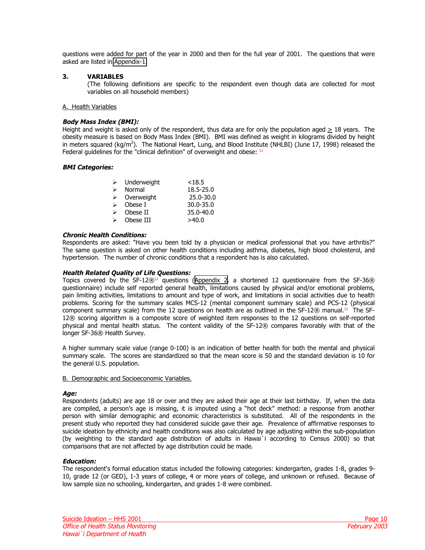<span id="page-9-0"></span>questions were added for part of the year in 2000 and then for the full year of 2001. The questions that were asked are listed in [Appendix-1.](#page-25-1)

## **3. VARIABLES**

(The following definitions are specific to the respondent even though data are collected for most variables on all household members)

### A. Health Variables

### **Body Mass Index (BMI):**

Height and weight is asked only of the respondent, thus data are for only the population aged  $\geq 18$  years. The obesity measure is based on Body Mass Index (BMI). BMI was defined as weight in kilograms divided by height in meters squared (kg/m<sup>2</sup>). The National Heart, Lung, and Blood Institute (NHLBI) (June 17, 1998) released the Federal guidelines for the "clinical definition" of overweight and obese:  $11$ 

### **BMI Categories:**

| ⋗ | Underweight | < 18.5        |
|---|-------------|---------------|
| ↘ | Normal      | 18.5-25.0     |
| ⋗ | Overweight  | 25.0-30.0     |
| ↘ | Obese I     | $30.0 - 35.0$ |
| ↘ | Obese II    | 35.0-40.0     |
| ↘ | Obese III   | >40.0         |

### **Chronic Health Conditions:**

Respondents are asked: "Have you been told by a physician or medical professional that you have arthritis?" The same question is asked on other health conditions including asthma, diabetes, high blood cholesterol, and hypertension. The number of chronic conditions that a respondent has is also calculated.

### **Health Related Quality of Life Questions:**

Topics covered by the SF-12<sup>®12</sup> questions ([Appendix 2.](#page-27-1) a shortened 12 questionnaire from the SF-36<sup>®</sup> questionnaire) include self reported general health, limitations caused by physical and/or emotional problems, pain limiting activities, limitations to amount and type of work, and limitations in social activities due to health problems. Scoring for the summary scales MCS-12 (mental component summary scale) and PCS-12 (physical component summary scale) from the 12 questions on health are as outlined in the  $SF-12@$  manual.<sup>12</sup> The SF-12® scoring algorithm is a composite score of weighted item responses to the 12 questions on self-reported physical and mental health status. The content validity of the SF-12® compares favorably with that of the longer SF-36® Health Survey.

A higher summary scale value (range 0-100) is an indication of better health for both the mental and physical summary scale. The scores are standardized so that the mean score is 50 and the standard deviation is 10 for the general U.S. population.

### B. Demographic and Socioeconomic Variables.

### **Age:**

Respondents (adults) are age 18 or over and they are asked their age at their last birthday. If, when the data are compiled, a person's age is missing, it is imputed using a "hot deck" method: a response from another person with similar demographic and economic characteristics is substituted. All of the respondents in the present study who reported they had considered suicide gave their age. Prevalence of affirmative responses to suicide ideation by ethnicity and health conditions was also calculated by age adjusting within the sub-population (by weighting to the standard age distribution of adults in Hawai`i according to Census 2000) so that comparisons that are not affected by age distribution could be made.

### **Education:**

The respondent's formal education status included the following categories: kindergarten, grades 1-8, grades 9- 10, grade 12 (or GED), 1-3 years of college, 4 or more years of college, and unknown or refused. Because of low sample size no schooling, kindergarten, and grades 1-8 were combined.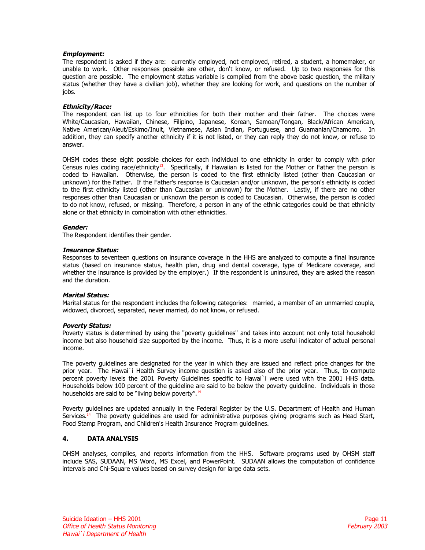### **Employment:**

The respondent is asked if they are: currently employed, not employed, retired, a student, a homemaker, or unable to work. Other responses possible are other, don't know, or refused. Up to two responses for this question are possible. The employment status variable is compiled from the above basic question, the military status (whether they have a civilian job), whether they are looking for work, and questions on the number of jobs.

### **Ethnicity/Race:**

The respondent can list up to four ethnicities for both their mother and their father. The choices were White/Caucasian, Hawaiian, Chinese, Filipino, Japanese, Korean, Samoan/Tongan, Black/African American, Native American/Aleut/Eskimo/Inuit, Vietnamese, Asian Indian, Portuguese, and Guamanian/Chamorro. In addition, they can specify another ethnicity if it is not listed, or they can reply they do not know, or refuse to answer.

OHSM codes these eight possible choices for each individual to one ethnicity in order to comply with prior Census rules coding race/ethnicity<sup>13</sup>. Specifically, if Hawaiian is listed for the Mother or Father the person is coded to Hawaiian. Otherwise, the person is coded to the first ethnicity listed (other than Caucasian or unknown) for the Father. If the Father's response is Caucasian and/or unknown, the person's ethnicity is coded to the first ethnicity listed (other than Caucasian or unknown) for the Mother. Lastly, if there are no other responses other than Caucasian or unknown the person is coded to Caucasian. Otherwise, the person is coded to do not know, refused, or missing. Therefore, a person in any of the ethnic categories could be that ethnicity alone or that ethnicity in combination with other ethnicities.

### **Gender:**

The Respondent identifies their gender.

### **Insurance Status:**

Responses to seventeen questions on insurance coverage in the HHS are analyzed to compute a final insurance status (based on insurance status, health plan, drug and dental coverage, type of Medicare coverage, and whether the insurance is provided by the employer.) If the respondent is uninsured, they are asked the reason and the duration.

## **Marital Status:**

Marital status for the respondent includes the following categories: married, a member of an unmarried couple, widowed, divorced, separated, never married, do not know, or refused.

### **Poverty Status:**

Poverty status is determined by using the "poverty guidelines" and takes into account not only total household income but also household size supported by the income. Thus, it is a more useful indicator of actual personal income.

The poverty guidelines are designated for the year in which they are issued and reflect price changes for the prior year. The Hawai`i Health Survey income question is asked also of the prior year. Thus, to compute percent poverty levels the 2001 Poverty Guidelines specific to Hawai`i were used with the 2001 HHS data. Households below 100 percent of the guideline are said to be below the poverty guideline. Individuals in those households are said to be "living below poverty".<sup>14</sup>

Poverty guidelines are updated annually in the Federal Register by the U.S. Department of Health and Human Services.<sup>14</sup> The poverty quidelines are used for administrative purposes giving programs such as Head Start, Food Stamp Program, and Children's Health Insurance Program guidelines.

# **4. DATA ANALYSIS**

OHSM analyses, compiles, and reports information from the HHS. Software programs used by OHSM staff include SAS, SUDAAN, MS Word, MS Excel, and PowerPoint. SUDAAN allows the computation of confidence intervals and Chi-Square values based on survey design for large data sets.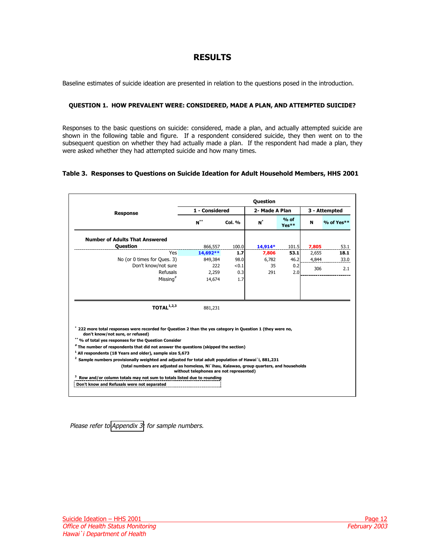# **RESULTS**

<span id="page-11-0"></span>Baseline estimates of suicide ideation are presented in relation to the questions posed in the introduction.

### **QUESTION 1. HOW PREVALENT WERE: CONSIDERED, MADE A PLAN, AND ATTEMPTED SUICIDE?**

Responses to the basic questions on suicide: considered, made a plan, and actually attempted suicide are shown in the following table and figure. If a respondent considered suicide, they then went on to the subsequent question on whether they had actually made a plan. If the respondent had made a plan, they were asked whether they had attempted suicide and how many times.

### **Table 3. Responses to Questions on Suicide Ideation for Adult Household Members, HHS 2001**

|                                                                                                                                                                                                                                                                                                                                                                                 | <b>Question</b>                                                                                                                                                                                                                                                                                                                                                                                                                                                                                                                                                                                                                                                                                     |               |  |  |  |            |  |  |  |
|---------------------------------------------------------------------------------------------------------------------------------------------------------------------------------------------------------------------------------------------------------------------------------------------------------------------------------------------------------------------------------|-----------------------------------------------------------------------------------------------------------------------------------------------------------------------------------------------------------------------------------------------------------------------------------------------------------------------------------------------------------------------------------------------------------------------------------------------------------------------------------------------------------------------------------------------------------------------------------------------------------------------------------------------------------------------------------------------------|---------------|--|--|--|------------|--|--|--|
| <b>Response</b>                                                                                                                                                                                                                                                                                                                                                                 | 1 - Considered<br>2- Made A Plan<br>$%$ of<br>$N^*$<br>$N^*$<br>Col. %<br>N<br>Yes**<br>866,557<br>100.0<br>$14.914*$<br>101.5<br>7.805<br>Yes<br>14,692**<br>1.7<br>53.1<br>2,655<br>7,806<br>849,384<br>98.0<br>46.2<br>6,782<br>4,844<br>< 0.1<br>35<br>0.2<br>222<br>306<br><b>Refusals</b><br>2,259<br>2.0<br>0.3<br>291<br>Missing <sup>#</sup><br>14,674<br>1.7<br>881,231<br>222 more total responses were recorded for Question 2 than the yes category in Question 1 (they were no,<br>$2$ Sample numbers provisionally weighted and adjusted for total adult population of Hawai`i, 881,231<br>(total numbers are adjusted as homeless, Ni`ihau, Kalawao, group quarters, and households | 3 - Attempted |  |  |  |            |  |  |  |
|                                                                                                                                                                                                                                                                                                                                                                                 |                                                                                                                                                                                                                                                                                                                                                                                                                                                                                                                                                                                                                                                                                                     |               |  |  |  | % of Yes** |  |  |  |
| <b>Number of Adults That Answered</b>                                                                                                                                                                                                                                                                                                                                           |                                                                                                                                                                                                                                                                                                                                                                                                                                                                                                                                                                                                                                                                                                     |               |  |  |  |            |  |  |  |
| <b>Question</b>                                                                                                                                                                                                                                                                                                                                                                 |                                                                                                                                                                                                                                                                                                                                                                                                                                                                                                                                                                                                                                                                                                     |               |  |  |  | 53.1       |  |  |  |
|                                                                                                                                                                                                                                                                                                                                                                                 |                                                                                                                                                                                                                                                                                                                                                                                                                                                                                                                                                                                                                                                                                                     |               |  |  |  | 18.1       |  |  |  |
| No (or 0 times for Oues, 3)                                                                                                                                                                                                                                                                                                                                                     |                                                                                                                                                                                                                                                                                                                                                                                                                                                                                                                                                                                                                                                                                                     |               |  |  |  | 33.0       |  |  |  |
| Don't know/not sure                                                                                                                                                                                                                                                                                                                                                             |                                                                                                                                                                                                                                                                                                                                                                                                                                                                                                                                                                                                                                                                                                     |               |  |  |  | 2.1        |  |  |  |
|                                                                                                                                                                                                                                                                                                                                                                                 |                                                                                                                                                                                                                                                                                                                                                                                                                                                                                                                                                                                                                                                                                                     |               |  |  |  |            |  |  |  |
|                                                                                                                                                                                                                                                                                                                                                                                 |                                                                                                                                                                                                                                                                                                                                                                                                                                                                                                                                                                                                                                                                                                     |               |  |  |  |            |  |  |  |
| TOTAL $1,2,3$                                                                                                                                                                                                                                                                                                                                                                   |                                                                                                                                                                                                                                                                                                                                                                                                                                                                                                                                                                                                                                                                                                     |               |  |  |  |            |  |  |  |
| don't know/not sure, or refused)<br>** % of total yes responses for the Question Consider<br># The number of respondents that did not answer the questions (skipped the section)<br><sup>1</sup> All respondents (18 Years and older), sample size 5,673<br>Row and/or column totals may not sum to totals listed due to rounding<br>Don't know and Refusals were not separated | without telephones are not represented)                                                                                                                                                                                                                                                                                                                                                                                                                                                                                                                                                                                                                                                             |               |  |  |  |            |  |  |  |

Please refer to [Appendix 3:](#page-28-1) for sample numbers.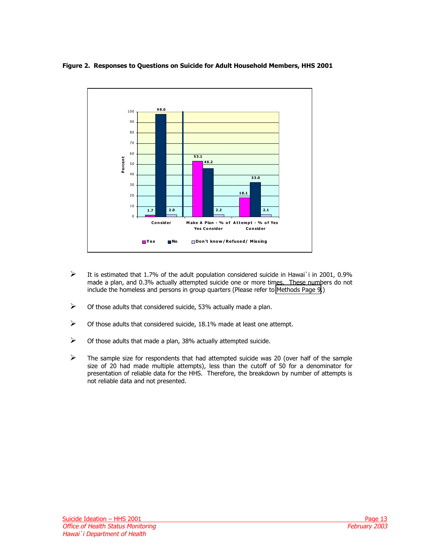# <span id="page-12-0"></span>**Figure 2. Responses to Questions on Suicide for Adult Household Members, HHS 2001**



- $\triangleright$  It is estimated that 1.7% of the adult population considered suicide in Hawai`i in 2001, 0.9% made a plan, and 0.3% actually attempted suicide one or more times. These numbers do not include the homeless and persons in group quarters (Please refer to [Methods Page 9](#page-8-2).)
- $\triangleright$  Of those adults that considered suicide, 53% actually made a plan.
- $\triangleright$  Of those adults that considered suicide, 18.1% made at least one attempt.
- $\triangleright$  Of those adults that made a plan, 38% actually attempted suicide.
- $\triangleright$  The sample size for respondents that had attempted suicide was 20 (over half of the sample size of 20 had made multiple attempts), less than the cutoff of 50 for a denominator for presentation of reliable data for the HHS. Therefore, the breakdown by number of attempts is not reliable data and not presented.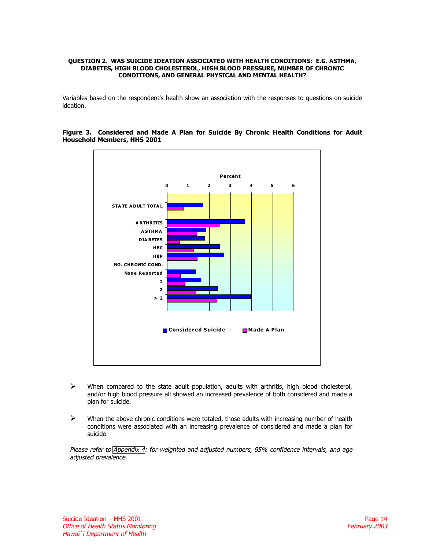#### <span id="page-13-0"></span>**QUESTION 2. WAS SUICIDE IDEATION ASSOCIATED WITH HEALTH CONDITIONS: E.G. ASTHMA, DIABETES, HIGH BLOOD CHOLESTEROL, HIGH BLOOD PRESSURE, NUMBER OF CHRONIC CONDITIONS, AND GENERAL PHYSICAL AND MENTAL HEALTH?**

Variables based on the respondent's health show an association with the responses to questions on suicide ideation.



### **Figure 3. Considered and Made A Plan for Suicide By Chronic Health Conditions for Adult Household Members, HHS 2001**

- $\triangleright$  When compared to the state adult population, adults with arthritis, high blood cholesterol, and/or high blood pressure all showed an increased prevalence of both considered and made a plan for suicide.
- $\triangleright$  When the above chronic conditions were totaled, those adults with increasing number of health conditions were associated with an increasing prevalence of considered and made a plan for suicide.

Please refer to [Appendix 4](#page-29-1): for weighted and adjusted numbers, 95% confidence intervals, and age adjusted prevalence.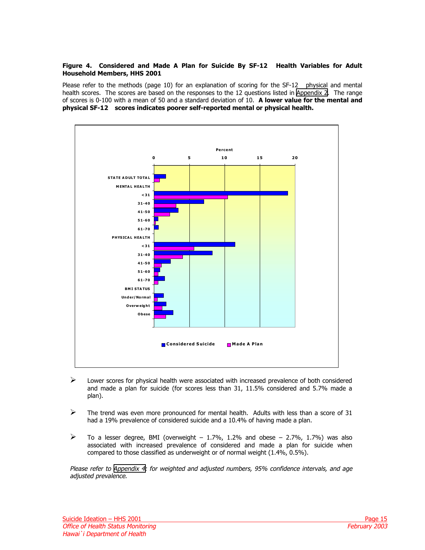### <span id="page-14-0"></span>**Figure 4. Considered and Made A Plan for Suicide By SF-12 Health Variables for Adult Household Members, HHS 2001**

Please refer to the methods (page [10\)](#page-9-0) for an explanation of scoring for the SF-12<sup>®</sup> physical and mental health scores. The scores are based on the responses to the 12 questions listed in [Appendix 2](#page-27-1). The range of scores is 0-100 with a mean of 50 and a standard deviation of 10. **A lower value for the mental and physical SF-12 scores indicates poorer self-reported mental or physical health.** 



- $\triangleright$  Lower scores for physical health were associated with increased prevalence of both considered and made a plan for suicide (for scores less than 31, 11.5% considered and 5.7% made a plan).
- $\triangleright$  The trend was even more pronounced for mental health. Adults with less than a score of 31 had a 19% prevalence of considered suicide and a 10.4% of having made a plan.
- $\triangleright$  To a lesser degree, BMI (overweight 1.7%, 1.2% and obese 2.7%, 1.7%) was also associated with increased prevalence of considered and made a plan for suicide when compared to those classified as underweight or of normal weight (1.4%, 0.5%).

Please refer to [Appendix 4:](#page-29-1) for weighted and adjusted numbers, 95% confidence intervals, and age adjusted prevalence.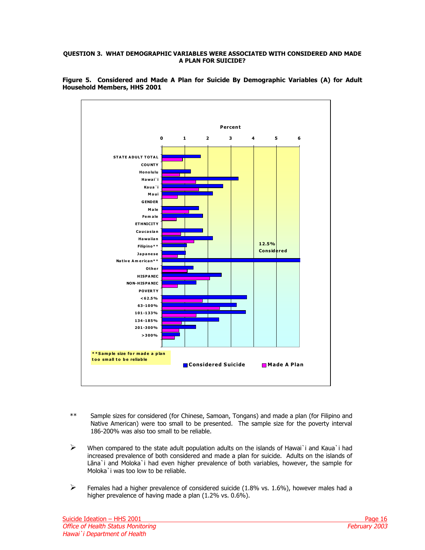### <span id="page-15-0"></span>**QUESTION 3. WHAT DEMOGRAPHIC VARIABLES WERE ASSOCIATED WITH CONSIDERED AND MADE A PLAN FOR SUICIDE?**



**Figure 5. Considered and Made A Plan for Suicide By Demographic Variables (A) for Adult Household Members, HHS 2001** 

- \*\* Sample sizes for considered (for Chinese, Samoan, Tongans) and made a plan (for Filipino and Native American) were too small to be presented. The sample size for the poverty interval 186-200% was also too small to be reliable.
- $\triangleright$  When compared to the state adult population adults on the islands of Hawai`i and Kaua`i had increased prevalence of both considered and made a plan for suicide. Adults on the islands of Lāna`i and Moloka`i had even higher prevalence of both variables, however, the sample for Moloka`i was too low to be reliable.
- $\triangleright$  Females had a higher prevalence of considered suicide (1.8% vs. 1.6%), however males had a higher prevalence of having made a plan (1.2% vs. 0.6%).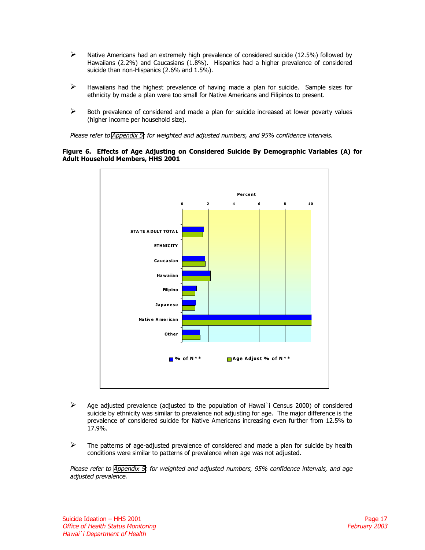- <span id="page-16-0"></span> $\triangleright$  Native Americans had an extremely high prevalence of considered suicide (12.5%) followed by Hawaiians (2.2%) and Caucasians (1.8%). Hispanics had a higher prevalence of considered suicide than non-Hispanics (2.6% and 1.5%).
- $\triangleright$  Hawaiians had the highest prevalence of having made a plan for suicide. Sample sizes for ethnicity by made a plan were too small for Native Americans and Filipinos to present.
- $\triangleright$  Both prevalence of considered and made a plan for suicide increased at lower poverty values (higher income per household size).

Please refer to [Appendix 5:](#page-30-1) for weighted and adjusted numbers, and 95% confidence intervals.

### **Figure 6. Effects of Age Adjusting on Considered Suicide By Demographic Variables (A) for Adult Household Members, HHS 2001**



- $\triangleright$  Age adjusted prevalence (adjusted to the population of Hawai`i Census 2000) of considered suicide by ethnicity was similar to prevalence not adjusting for age. The major difference is the prevalence of considered suicide for Native Americans increasing even further from 12.5% to 17.9%.
- $\triangleright$  The patterns of age-adjusted prevalence of considered and made a plan for suicide by health conditions were similar to patterns of prevalence when age was not adjusted.

Please refer to [Appendix 5:](#page-30-2) for weighted and adjusted numbers, 95% confidence intervals, and age adjusted prevalence.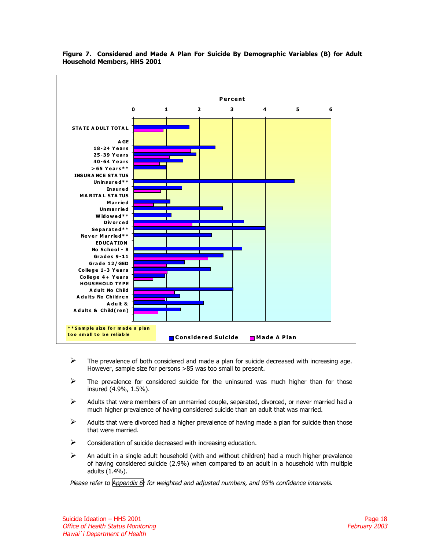

# <span id="page-17-0"></span>**Figure 7. Considered and Made A Plan For Suicide By Demographic Variables (B) for Adult Household Members, HHS 2001**

- $\triangleright$  The prevalence of both considered and made a plan for suicide decreased with increasing age. However, sample size for persons >85 was too small to present.
- $\triangleright$  The prevalence for considered suicide for the uninsured was much higher than for those insured (4.9%, 1.5%).
- $\triangleright$  Adults that were members of an unmarried couple, separated, divorced, or never married had a much higher prevalence of having considered suicide than an adult that was married.
- $\triangleright$  Adults that were divorced had a higher prevalence of having made a plan for suicide than those that were married.
- $\triangleright$  Consideration of suicide decreased with increasing education.
- $\triangleright$  An adult in a single adult household (with and without children) had a much higher prevalence of having considered suicide (2.9%) when compared to an adult in a household with multiple adults (1.4%).

Please refer to [Appendix 6](#page-31-1): for weighted and adjusted numbers, and 95% confidence intervals.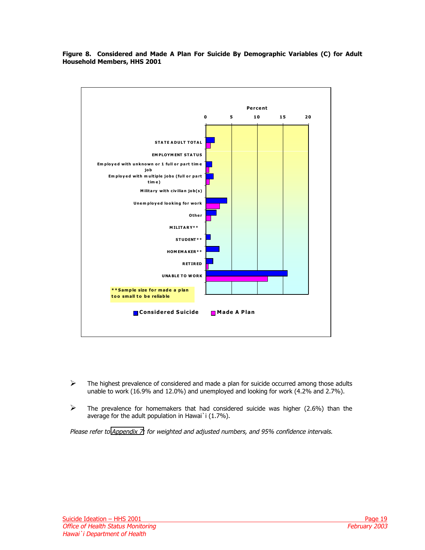<span id="page-18-0"></span>



- $\triangleright$  The highest prevalence of considered and made a plan for suicide occurred among those adults unable to work (16.9% and 12.0%) and unemployed and looking for work (4.2% and 2.7%).
- $\triangleright$  The prevalence for homemakers that had considered suicide was higher (2.6%) than the average for the adult population in Hawai`i (1.7%).

Please refer to [Appendix 7:](#page-32-1) for weighted and adjusted numbers, and 95% confidence intervals.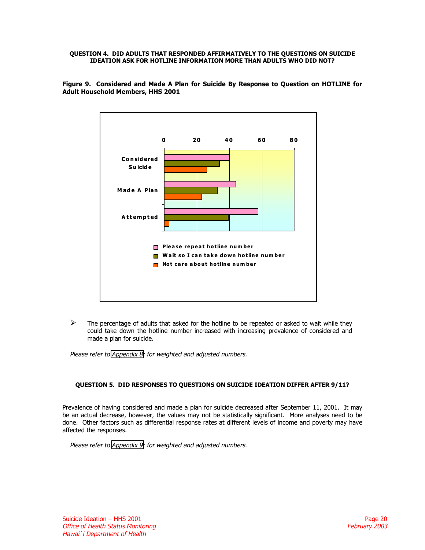### <span id="page-19-0"></span>**QUESTION 4. DID ADULTS THAT RESPONDED AFFIRMATIVELY TO THE QUESTIONS ON SUICIDE IDEATION ASK FOR HOTLINE INFORMATION MORE THAN ADULTS WHO DID NOT?**



**Figure 9. Considered and Made A Plan for Suicide By Response to Question on HOTLINE for Adult Household Members, HHS 2001** 

 $\triangleright$  The percentage of adults that asked for the hotline to be repeated or asked to wait while they could take down the hotline number increased with increasing prevalence of considered and made a plan for suicide.

Please refer to [Appendix 8:](#page-33-1) for weighted and adjusted numbers.

## **QUESTION 5. DID RESPONSES TO QUESTIONS ON SUICIDE IDEATION DIFFER AFTER 9/11?**

Prevalence of having considered and made a plan for suicide decreased after September 11, 2001. It may be an actual decrease, however, the values may not be statistically significant. More analyses need to be done. Other factors such as differential response rates at different levels of income and poverty may have affected the responses.

Please refer to [Appendix 9:](#page-34-1) for weighted and adjusted numbers.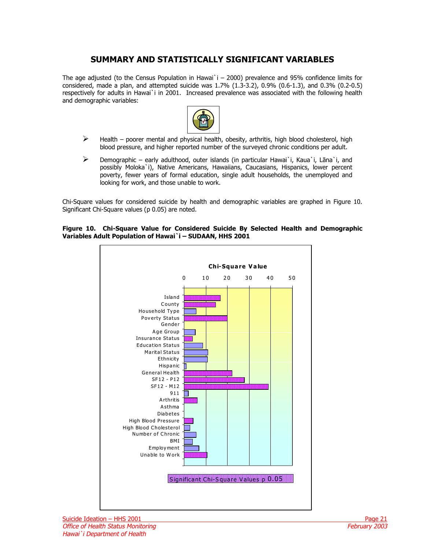# **SUMMARY AND STATISTICALLY SIGNIFICANT VARIABLES**

<span id="page-20-0"></span>The age adjusted (to the Census Population in Hawai'i  $-$  2000) prevalence and 95% confidence limits for considered, made a plan, and attempted suicide was 1.7% (1.3-3.2), 0.9% (0.6-1.3), and 0.3% (0.2-0.5) respectively for adults in Hawai`i in 2001. Increased prevalence was associated with the following health and demographic variables:



- $\triangleright$  Health poorer mental and physical health, obesity, arthritis, high blood cholesterol, high blood pressure, and higher reported number of the surveyed chronic conditions per adult.
- $\triangleright$  Demographic early adulthood, outer islands (in particular Hawai`i, Kaua`i, Lāna`i, and possibly Moloka`i), Native Americans, Hawaiians, Caucasians, Hispanics, lower percent poverty, fewer years of formal education, single adult households, the unemployed and looking for work, and those unable to work.

Chi-Square values for considered suicide by health and demographic variables are graphed in Figure 10. Significant Chi-Square values (p 0.05) are noted.

### **Figure 10. Chi-Square Value for Considered Suicide By Selected Health and Demographic Variables Adult Population of Hawai`i – SUDAAN, HHS 2001**

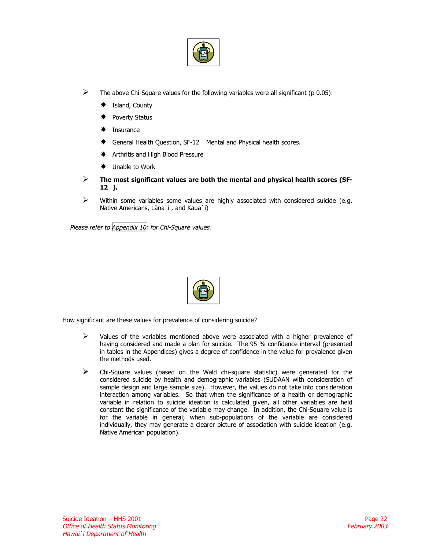

- $\triangleright$  The above Chi-Square values for the following variables were all significant (p 0.05):
	- $★$  Island, County
	- # Poverty Status
	- # Insurance
	- $*$  General Health Question, SF-12<sup>®</sup> Mental and Physical health scores.
	- $★$  Arthritis and High Blood Pressure
	- $\textcolor{red}{\bigstar}$  Unable to Work
- **EXECUTE:** The most significant values are both the mental and physical health scores (SF-**12).**
- $\triangleright$  Within some variables some values are highly associated with considered suicide (e.g. Native Americans, Lāna`i , and Kaua`i)

Please refer to [Appendix 10:](#page-35-1) for Chi-Square values.



How significant are these values for prevalence of considering suicide?

- $\triangleright$  Values of the variables mentioned above were associated with a higher prevalence of having considered and made a plan for suicide. The 95 % confidence interval (presented in tables in the Appendices) gives a degree of confidence in the value for prevalence given the methods used.
- $\triangleright$  Chi-Square values (based on the Wald chi-square statistic) were generated for the considered suicide by health and demographic variables (SUDAAN with consideration of sample design and large sample size). However, the values do not take into consideration interaction among variables. So that when the significance of a health or demographic variable in relation to suicide ideation is calculated given, all other variables are held constant the significance of the variable may change. In addition, the Chi-Square value is for the variable in general; when sub-populations of the variable are considered individually, they may generate a clearer picture of association with suicide ideation (e.g. Native American population).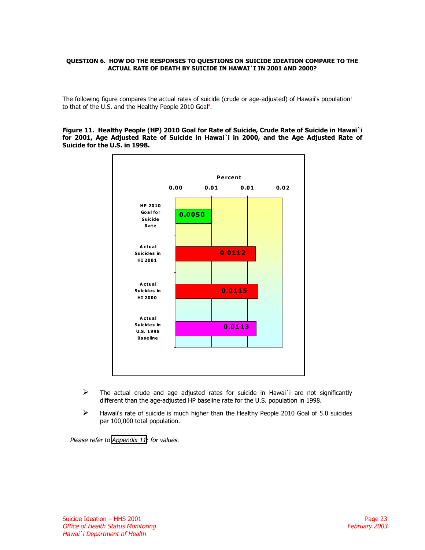#### <span id="page-22-0"></span>**QUESTION 6. HOW DO THE RESPONSES TO QUESTIONS ON SUICIDE IDEATION COMPARE TO THE ACTUAL RATE OF DEATH BY SUICIDE IN HAWAI`I IN 2001 AND 2000?**

The following figure compares the actual rates of suicide (crude or age-adjusted) of Hawaii's population<sup>1</sup> to that of the U.S. and the Healthy People 2010 Goal<sup>4</sup>.

#### **Figure 11. Healthy People (HP) 2010 Goal for Rate of Suicide, Crude Rate of Suicide in Hawai`i for 2001, Age Adjusted Rate of Suicide in Hawai`i in 2000, and the Age Adjusted Rate of Suicide for the U.S. in 1998.**



- $\triangleright$  The actual crude and age adjusted rates for suicide in Hawai`i are not significantly different than the age-adjusted HP baseline rate for the U.S. population in 1998.
- $\triangleright$  Hawaii's rate of suicide is much higher than the Healthy People 2010 Goal of 5.0 suicides per 100,000 total population.

Please refer to [Appendix 11](#page-36-1): for values.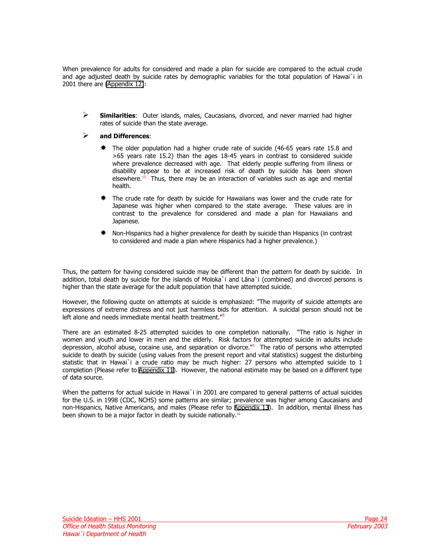When prevalence for adults for considered and made a plan for suicide are compared to the actual crude and age adjusted death by suicide rates by demographic variables for the total population of Hawai`i in 2001 there are [\(Appendix 12\)](#page-37-1):

" **Similarities**: Outer islands, males, Caucasians, divorced, and never married had higher rates of suicide than the state average.

## " **and Differences**:

- $*$  The older population had a higher crude rate of suicide (46-65 years rate 15.8 and >65 years rate 15.2) than the ages 18-45 years in contrast to considered suicide where prevalence decreased with age. That elderly people suffering from illness or disability appear to be at increased risk of death by suicide has been shown elsewhere.<sup>15</sup> Thus, there may be an interaction of variables such as age and mental health.
- $*$  The crude rate for death by suicide for Hawaiians was lower and the crude rate for Japanese was higher when compared to the state average. These values are in contrast to the prevalence for considered and made a plan for Hawaiians and Japanese.
- Non-Hispanics had a higher prevalence for death by suicide than Hispanics (in contrast to considered and made a plan where Hispanics had a higher prevalence.)

Thus, the pattern for having considered suicide may be different than the pattern for death by suicide. In addition, total death by suicide for the islands of Moloka`i and Lāna`i (combined) and divorced persons is higher than the state average for the adult population that have attempted suicide.

However, the following quote on attempts at suicide is emphasized: "The majority of suicide attempts are expressions of extreme distress and not just harmless bids for attention. A suicidal person should not be left alone and needs immediate mental health treatment."<sup>6</sup>

There are an estimated 8-25 attempted suicides to one completion nationally. "The ratio is higher in women and youth and lower in men and the elderly. Risk factors for attempted suicide in adults include depression, alcohol abuse, cocaine use, and separation or divorce.["5](#page-39-0) The ratio of persons who attempted suicide to death by suicide (using values from the present report and vital statistics) suggest the disturbing statistic that in Hawai`i a crude ratio may be much higher: 27 persons who attempted suicide to 1 completion (Please refer to [Appendix 11\)](#page-36-2). However, the national estimate may be based on a different type of data source.

When the patterns for actual suicide in Hawai`i in 2001 are compared to general patterns of actual suicides for the U.S. in 1998 (CDC, NCHS) some patterns are similar; prevalence was higher among Caucasians and non-Hispanics, Native Americans, and males (Please refer to [Appendix 13](#page-38-1)). In addition, mental illness has been shown to be a major factor in death by suicide nationally.<sup>16</sup>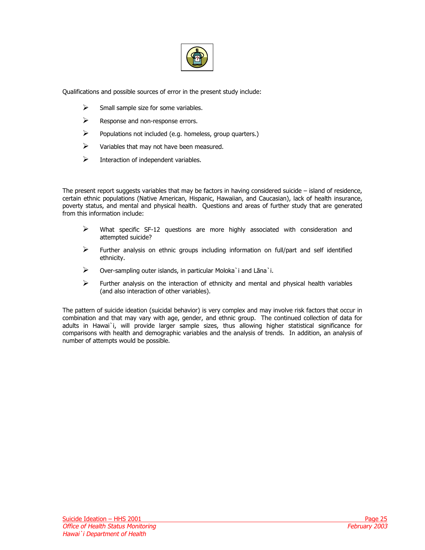

Qualifications and possible sources of error in the present study include:

- $\triangleright$  Small sample size for some variables.
- $\triangleright$  Response and non-response errors.
- $\triangleright$  Populations not included (e.g. homeless, group quarters.)
- $\triangleright$  Variables that may not have been measured.
- $\triangleright$  Interaction of independent variables.

The present report suggests variables that may be factors in having considered suicide – island of residence, certain ethnic populations (Native American, Hispanic, Hawaiian, and Caucasian), lack of health insurance, poverty status, and mental and physical health. Questions and areas of further study that are generated from this information include:

- $\triangleright$  What specific SF-12 questions are more highly associated with consideration and attempted suicide?
- $\triangleright$  Further analysis on ethnic groups including information on full/part and self identified ethnicity.
- $\triangleright$  Over-sampling outer islands, in particular Moloka`i and Lāna`i.
- $\triangleright$  Further analysis on the interaction of ethnicity and mental and physical health variables (and also interaction of other variables).

The pattern of suicide ideation (suicidal behavior) is very complex and may involve risk factors that occur in combination and that may vary with age, gender, and ethnic group. The continued collection of data for adults in Hawai`i, will provide larger sample sizes, thus allowing higher statistical significance for comparisons with health and demographic variables and the analysis of trends. In addition, an analysis of number of attempts would be possible.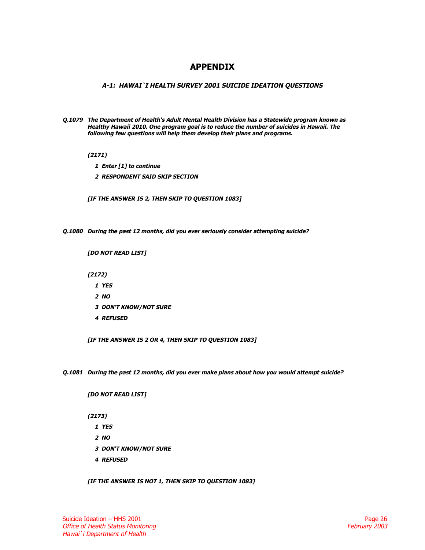# **APPENDIX**

### <span id="page-25-1"></span><span id="page-25-0"></span>**A-1: HAWAI`I HEALTH SURVEY 2001 SUICIDE IDEATION QUESTIONS**

**Q.1079 The Department of Health's Adult Mental Health Division has a Statewide program known as Healthy Hawaii 2010. One program goal is to reduce the number of suicides in Hawaii. The following few questions will help them develop their plans and programs.** 

 **(2171)** 

- **1 Enter [1] to continue**
- **2 RESPONDENT SAID SKIP SECTION**

 **[IF THE ANSWER IS 2, THEN SKIP TO QUESTION 1083]** 

**Q.1080 During the past 12 months, did you ever seriously consider attempting suicide?** 

 **[DO NOT READ LIST]** 

 **(2172)** 

- **1 YES**
- **2 NO**
- **3 DON'T KNOW/NOT SURE**
- **4 REFUSED**

 **[IF THE ANSWER IS 2 OR 4, THEN SKIP TO QUESTION 1083]** 

**Q.1081 During the past 12 months, did you ever make plans about how you would attempt suicide?** 

 **[DO NOT READ LIST]** 

 **(2173)** 

- **1 YES**
- **2 NO**
- **3 DON'T KNOW/NOT SURE**
- **4 REFUSED**

 **[IF THE ANSWER IS NOT 1, THEN SKIP TO QUESTION 1083]**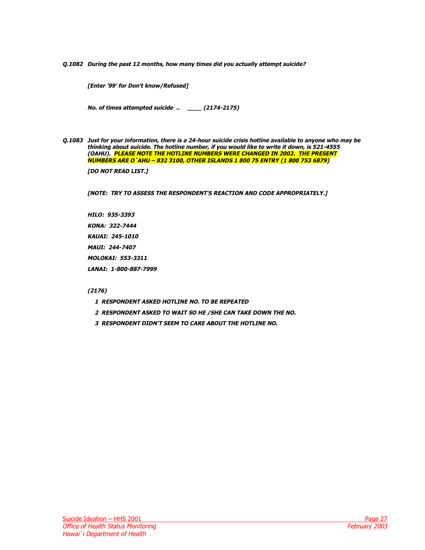**Q.1082 During the past 12 months, how many times did you actually attempt suicide?** 

**[Enter '99' for Don't know/Refused]** 

 **No. of times attempted suicide .. \_\_\_\_ (2174-2175)** 

**Q.1083 Just for your information, there is a 24-hour suicide crisis hotline available to anyone who may be thinking about suicide. The hotline number, if you would like to write it down, is 521-4555 (OAHU). PLEASE NOTE THE HOTLINE NUMBERS WERE CHANGED IN 2002. THE PRESENT NUMBERS ARE O`AHU – 832 3100, OTHER ISLANDS 1 800 75 ENTRY (1 800 753 6879)** 

 **[DO NOT READ LIST.]** 

 **[NOTE: TRY TO ASSESS THE RESPONDENT'S REACTION AND CODE APPROPRIATELY.]** 

 **HILO: 935-3393 KONA: 322-7444 KAUAI: 245-1010 MAUI: 244-7407 MOLOKAI: 553-3311 LANAI: 1-800-887-7999** 

# **(2176)**

- **1 RESPONDENT ASKED HOTLINE NO. TO BE REPEATED**
- **2 RESPONDENT ASKED TO WAIT SO HE /SHE CAN TAKE DOWN THE NO.**
- **3 RESPONDENT DIDN'T SEEM TO CARE ABOUT THE HOTLINE NO.**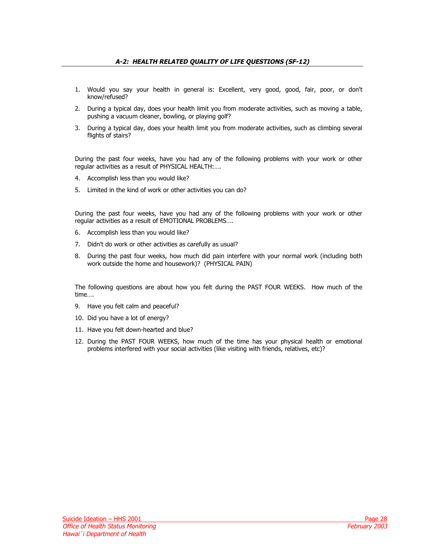- <span id="page-27-1"></span><span id="page-27-0"></span>1. Would you say your health in general is: Excellent, very good, good, fair, poor, or don't know/refused?
- 2. During a typical day, does your health limit you from moderate activities, such as moving a table, pushing a vacuum cleaner, bowling, or playing golf?
- 3. During a typical day, does your health limit you from moderate activities, such as climbing several flights of stairs?

During the past four weeks, have you had any of the following problems with your work or other regular activities as a result of PHYSICAL HEALTH:….

- 4. Accomplish less than you would like?
- 5. Limited in the kind of work or other activities you can do?

During the past four weeks, have you had any of the following problems with your work or other regular activities as a result of EMOTIONAL PROBLEMS….

- 6. Accomplish less than you would like?
- 7. Didn't do work or other activities as carefully as usual?
- 8. During the past four weeks, how much did pain interfere with your normal work (including both work outside the home and housework)? (PHYSICAL PAIN)

The following questions are about how you felt during the PAST FOUR WEEKS. How much of the time….

- 9. Have you felt calm and peaceful?
- 10. Did you have a lot of energy?
- 11. Have you felt down-hearted and blue?
- 12. During the PAST FOUR WEEKS, how much of the time has your physical health or emotional problems interfered with your social activities (like visiting with friends, relatives, etc)?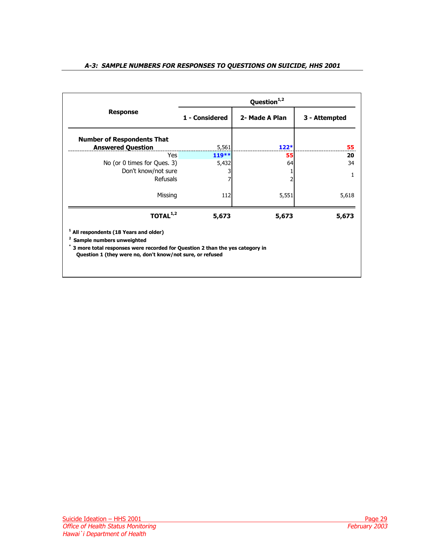<span id="page-28-1"></span><span id="page-28-0"></span>

|  |  |  | A-3:  SAMPLE NUMBERS FOR RESPONSES TO QUESTIONS ON SUICIDE, HHS 2001 |  |
|--|--|--|----------------------------------------------------------------------|--|
|  |  |  |                                                                      |  |

|                                                                                                                                                                                                                                  | Question <sup>1,2</sup> |                |               |  |  |  |  |  |
|----------------------------------------------------------------------------------------------------------------------------------------------------------------------------------------------------------------------------------|-------------------------|----------------|---------------|--|--|--|--|--|
| <b>Response</b>                                                                                                                                                                                                                  | 1 - Considered          | 2- Made A Plan | 3 - Attempted |  |  |  |  |  |
| <b>Number of Respondents That</b><br><b>Answered Question</b>                                                                                                                                                                    | 5,561                   | $122*$         | 55            |  |  |  |  |  |
| Yes                                                                                                                                                                                                                              | $119**$                 | 55             | 20            |  |  |  |  |  |
| No (or 0 times for Ques. 3)                                                                                                                                                                                                      | 5,432                   | 64             | 34            |  |  |  |  |  |
| Don't know/not sure                                                                                                                                                                                                              |                         |                | 1             |  |  |  |  |  |
| <b>Refusals</b>                                                                                                                                                                                                                  |                         |                |               |  |  |  |  |  |
| Missing                                                                                                                                                                                                                          | 112                     | 5,551          | 5,618         |  |  |  |  |  |
| TOTAL <sup>1,2</sup>                                                                                                                                                                                                             | 5,673                   | 5,673          | 5,673         |  |  |  |  |  |
| <sup>1</sup> All respondents (18 Years and older)<br>2<br>Sample numbers unweighted<br>3 more total responses were recorded for Question 2 than the yes category in<br>Question 1 (they were no, don't know/not sure, or refused |                         |                |               |  |  |  |  |  |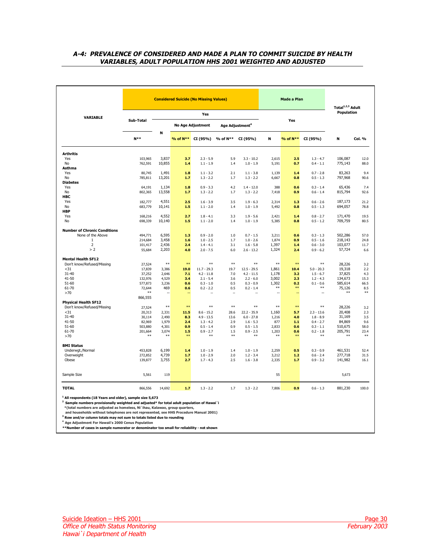# <span id="page-29-1"></span><span id="page-29-0"></span>**A-4: PREVALENCE OF CONSIDERED AND MADE A PLAN TO COMMIT SUICIDE BY HEALTH VARIABLES, ADULT POPULATION HHS 2001 WEIGHTED AND ADJUSTED**

|                                                           |                               | <b>Considered Suicide (No Missing Values)</b> |                   |                                           |                             |                                           |                         | Made a Plan         | Total <sup>1,2,3</sup> Adult              |                               |                      |
|-----------------------------------------------------------|-------------------------------|-----------------------------------------------|-------------------|-------------------------------------------|-----------------------------|-------------------------------------------|-------------------------|---------------------|-------------------------------------------|-------------------------------|----------------------|
| VARIABLE                                                  |                               | Yes                                           |                   |                                           |                             |                                           |                         |                     | Population                                |                               |                      |
|                                                           | Sub-Total                     |                                               |                   | <b>No Age Adjustment</b>                  | Age Adjustment <sup>4</sup> |                                           |                         | Yes                 |                                           |                               |                      |
|                                                           | $N^**$                        | N                                             |                   | % of N** CI (95%)                         | % of N**                    | CI (95%)                                  | N                       | % of N**            | CI (95%)                                  | N                             | Col. %               |
| <b>Arthritis</b>                                          |                               |                                               |                   |                                           |                             |                                           |                         |                     |                                           |                               |                      |
| Yes<br>No                                                 | 103,965<br>762,591            | 3,837<br>10,855                               | 3.7<br>1.4        | $2.3 - 5.9$<br>$1.1 - 1.9$                | 5.9<br>1.4                  | $3.3 - 10.2$<br>$1.0 - 1.9$               | 2,615<br>5,191          | 2.5<br>0.7          | $1.3 - 4.7$<br>$0.4 - 1.1$                | 106,087<br>775,143            | 12.0<br>88.0         |
| <b>Asthma</b><br>Yes                                      | 80.745                        | 1.491                                         | 1.8               | $1.1 - 3.2$                               | 2.1                         | $1.1 - 3.8$                               | 1.139                   | 1.4                 | $0.7 - 2.8$                               | 83,263                        | 9.4                  |
| No<br><b>Diabetes</b>                                     | 785,811                       | 13,201                                        | 1.7               | $1.3 - 2.2$                               | 1.7                         | $1.3 - 2.2$                               | 6,667                   | 0.8                 | $0.5 - 1.3$                               | 797,968                       | 90.6                 |
| Yes<br><b>No</b>                                          | 64,191<br>802,365             | 1,134<br>13,558                               | 1.8<br>1.7        | $0.9 - 3.3$<br>$1.3 - 2.2$                | 4.2<br>1.7                  | $1.4 - 12.0$<br>$1.3 - 2.2$               | 388<br>7,418            | 0.6<br>0.9          | $0.3 - 1.4$<br>$0.6 - 1.4$                | 65,436<br>815,794             | 7.4<br>92.6          |
| HBC<br>Yes<br><b>No</b>                                   | 182,777<br>683,779            | 4,551<br>10,141                               | 2.5<br>1.5        | $1.6 - 3.9$<br>$1.1 - 2.0$                | 3.5<br>1.4                  | $1.9 - 6.3$<br>$1.0 - 1.9$                | 2,314<br>5,492          | 1.3<br>0.8          | $0.6 - 2.6$<br>$0.5 - 1.3$                | 187,173<br>694,057            | 21.2<br>78.8         |
| <b>HBP</b><br>Yes                                         | 168,216                       | 4,552                                         | 2.7               | $1.8 - 4.1$                               | 3.3                         | $1.9 - 5.6$                               | 2,421                   | 1.4                 | $0.8 - 2.7$                               | 171,470                       | 19.5                 |
| No                                                        | 698,339                       | 10,140                                        | 1.5               | $1.1 - 2.0$                               | 1.4                         | $1.0 - 1.9$                               | 5,385                   | 0.8                 | $0.5 - 1.2$                               | 709,759                       | 80.5                 |
| <b>Number of Chronic Conditions</b><br>None of the Above  | 494.771                       | 6.595                                         | 1.3               | $0.9 - 2.0$                               | 1.0                         | $0.7 - 1.5$                               | 3,211                   | 0.6                 | $0.3 - 1.3$                               | 502,286                       | 57.0                 |
| $\mathbf{1}$<br>$\overline{2}$                            | 214,684<br>101,417            | 3,458<br>2,436                                | 1.6<br>2.4        | $1.0 - 2.5$<br>$1.4 - 4.1$                | 1.7<br>3.1                  | $1.0 - 2.6$<br>$1.6 - 5.8$                | 1,874<br>1,397          | 0.9<br>1.4          | $0.5 - 1.6$<br>$0.6 - 3.0$                | 218,143<br>103,077            | 24.8<br>11.7         |
| > 2                                                       | 55,684                        | 2,203                                         | 4.0               | $2.0 - 7.5$                               | 6.0                         | $2.6 - 13.2$                              | 1,324                   | 2.4                 | $0.9 - 6.2$                               | 57,724                        | 6.6                  |
| <b>Mental Health SF12</b><br>Don't know/Refused/Missing   | 27,524                        | $***$                                         | $***$             | $***$                                     | $**$                        | $\ast\ast$                                | $**$                    | $\ast\ast$          | $***$                                     | 28,226                        | 3.2                  |
| < 31<br>$31 - 40$                                         | 17,839<br>37,252              | 3,386<br>2,646                                | 19.0<br>7.1       | $11.7 - 29.3$<br>$4.2 - 11.8$             | 19.7<br>7.0                 | $12.5 - 29.5$<br>$4.2 - 11.5$             | 1,861<br>1,178          | 10.4<br>3.2         | $5.0 - 20.3$<br>$1.5 - 6.7$               | 19,318<br>37,825              | 2.2<br>4.3           |
| 41-50<br>$51 - 60$                                        | 132,976<br>577,873            | 4,529<br>3,236                                | 3.4<br>0.6        | $2.1 - 5.4$<br>$0.3 - 1.0$                | 3.6<br>0.5                  | $2.2 - 6.0$<br>$0.3 - 0.9$                | 3,002<br>1,302<br>$**$  | 2.3<br>0.2<br>$***$ | $1.2 - 4.3$<br>$0.1 - 0.6$<br>$**$        | 134,673<br>585,614            | 15.3<br>66.5         |
| $61 - 70$<br>>70                                          | 72,644<br>$***$<br>866,555    | 469                                           | 0.6<br>Щ.         | $0.2 - 2.2$                               | 0.5<br>ц,                   | $0.2 - 1.4$                               | ÷.                      | u.                  | ä,                                        | 75.126<br>$**$                | 8.5<br>$***$         |
| <b>Physical Health SF12</b><br>Don't know/Refused/Missing | 27,524                        | $**$                                          | $***$             | $***$                                     | $***$                       | $**$                                      | $**$                    | $**$                | $**$                                      | 28,226                        | 3.2                  |
| < 31<br>$31 - 40$                                         | 20,313<br>30,114              | 2,331<br>2.490                                | 11.5<br>8.3       | $8.6 - 15.2$<br>$4.9 - 13.5$              | 28.6<br>13.6                | $22.2 - 35.9$<br>$6.0 - 27.8$             | 1,160<br>1.216          | 5.7<br>4.0          | $2.3 - 13.6$<br>$1.8 - 8.9$               | 20,408<br>31,169              | 2.3<br>3.5           |
| 41-50<br>$51 - 60$                                        | 82,969<br>503,880             | 1,979<br>4,301                                | 2.4<br>0.9        | $1.3 - 4.2$<br>$0.5 - 1.4$                | 2.9<br>0.9                  | $1.6 - 5.3$<br>$0.5 - 1.5$                | 877<br>2,833            | 1.1<br>0.6          | $0.4 - 2.7$<br>$0.3 - 1.1$                | 84,869<br>510,675             | 9.6<br>58.0          |
| 61-70<br>>70                                              | 201,664<br>$**$               | 3,074<br>$**$                                 | 1.5<br>$***$      | $0.9 - 2.7$<br>$**$                       | 1.5<br>$**$                 | $0.9 - 2.5$<br>$**$                       | 1,203<br>$**$           | 0.6<br>$***$        | $0.2 - 1.8$<br>$**$                       | 205,791<br>火火                 | 23.4<br>$**$         |
| <b>BMI Status</b>                                         |                               |                                               |                   |                                           |                             |                                           |                         |                     |                                           |                               |                      |
| Underwgt./Normal<br>Overweight<br>Obese                   | 453,828<br>272,852<br>139,877 | 6,199<br>4,739<br>3,755                       | 1.4<br>1.7<br>2.7 | $1.0 - 1.9$<br>$1.0 - 2.9$<br>$1.7 - 4.3$ | 1.4<br>2.0<br>2.5           | $1.0 - 1.9$<br>$1.2 - 3.4$<br>$1.6 - 3.8$ | 2,259<br>3,212<br>2,335 | 0.5<br>1.2<br>1.7   | $0.3 - 0.9$<br>$0.6 - 2.4$<br>$0.9 - 3.2$ | 461,531<br>277,718<br>141,982 | 52.4<br>31.5<br>16.1 |
|                                                           |                               |                                               |                   |                                           |                             |                                           |                         |                     |                                           |                               |                      |
| Sample Size                                               | 5,561                         | 119                                           |                   |                                           |                             |                                           | 55                      |                     |                                           | 5,673                         |                      |
| <b>TOTAL</b>                                              | 866,556                       | 14,692                                        | 1.7               | $1.3 - 2.2$                               | 1.7                         | $1.3 - 2.2$                               | 7,806                   | 0.9                 | $0.6 - 1.3$                               | 881,230                       | 100.0                |

<sup>1</sup> All respondents (18 Years and older), sample size 5,673<br><sup>2</sup> Sample numbers provisionally weighted and adjusted\* for total adult population of Hawai`i<br>\*(total numbers are adjusted as homeless, Ni`ihau, Kalawao, group q

**\*\*Number of cases in sample numerator or denominator too small for reliability - not shown**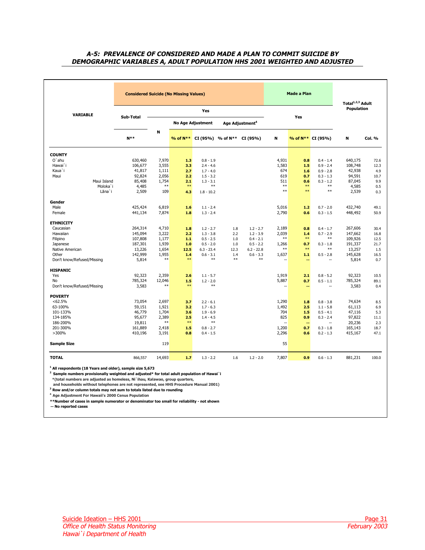### <span id="page-30-2"></span><span id="page-30-1"></span><span id="page-30-0"></span>**A-5: PREVALENCE OF CONSIDERED AND MADE A PLAN TO COMMIT SUICIDE BY DEMOGRAPHIC VARIABLES A, ADULT POPULATION HHS 2001 WEIGHTED AND ADJUSTED**

|                            | <b>Considered Suicide (No Missing Values)</b> |                |           |                                  |             | Made a Plan                 |                | Total <sup>1,2,3</sup> Adult<br>Population |                            |         |              |
|----------------------------|-----------------------------------------------|----------------|-----------|----------------------------------|-------------|-----------------------------|----------------|--------------------------------------------|----------------------------|---------|--------------|
| <b>VARIABLE</b>            |                                               |                |           | Yes                              |             |                             |                |                                            |                            |         |              |
|                            | Sub-Total                                     |                |           | <b>No Age Adjustment</b>         |             | Age Adjustment <sup>4</sup> |                | Yes                                        |                            |         |              |
|                            | $N^*$                                         | N              | % of N**  | $CI (95\%)$ % of N** $CI (95\%)$ |             |                             | N              |                                            | % of N** CI (95%)          | Ν       | Col. %       |
| <b>COUNTY</b>              |                                               |                |           |                                  |             |                             |                |                                            |                            |         |              |
| $O'$ ahu                   | 630,460                                       | 7,970          | 1.3       | $0.8 - 1.9$                      |             |                             | 4,931          | 0.8                                        | $0.4 - 1.4$                | 640,175 | 72.6         |
| Hawai`i                    | 106,677                                       | 3,555          | 3.3       | $2.4 - 4.6$                      |             |                             | 1,583          | 1.5                                        | $0.9 - 2.4$                | 108,748 | 12.3         |
| Kaua`i                     | 41,817                                        | 1,111          | 2.7       | $1.7 - 4.0$                      |             |                             | 674            | 1.6                                        | $0.9 - 2.8$                | 42,938  | 4.9          |
| Maui                       | 92,824                                        | 2,056          | 2.2       | $1.5 - 3.2$                      |             |                             | 619            | 0.7                                        | $0.3 - 1.3$                | 94,591  | 10.7         |
| Maui Island                | 85,408                                        | 1,754          | 2.1       | $1.3 - 3.1$                      |             |                             | 511            | 0.6                                        | $0.3 - 1.2$                | 87,045  | 9.9          |
| Moloka`i                   | 4,485                                         | **             | $***$     | $**$                             |             |                             | $***$          | $***$                                      | $***$                      | 4,585   | 0.5          |
| Lāna`i                     | 2,509                                         | 109            | 4.3       | $1.8 - 10.2$                     |             |                             | $**$           | $**$                                       | $***$                      | 2,539   | 0.3          |
| Gender                     |                                               |                |           |                                  |             |                             |                |                                            |                            |         |              |
| Male                       | 425,424                                       | 6,819          | 1.6       | $1.1 - 2.4$                      |             |                             | 5,016          | 1.2                                        | $0.7 - 2.0$                | 432,740 | 49.1         |
| Female                     | 441,134                                       | 7,874          | 1.8       | $1.3 - 2.4$                      |             |                             | 2,790          | 0.6                                        | $0.3 - 1.5$                | 448,492 | 50.9         |
| <b>ETHNICITY</b>           |                                               |                |           |                                  |             |                             |                |                                            |                            |         |              |
| Caucasian                  | 264,314                                       | 4,710          | 1.8       | $1.2 - 2.7$                      | 1.8         | $1.2 - 2.7$                 | 2,189          | 0.8                                        | $0.4 - 1.7$                | 267,606 | 30.4         |
| Hawaiian                   | 145,094                                       | 3,222          | 2.2       | $1.3 - 3.8$                      | 2.2         | $1.2 - 3.9$                 | 2,039          | 1.4                                        | $0.7 - 2.9$                | 147,662 | 16.8         |
| Filipino                   | 107,808                                       | 1,177          | 1.1       | $0.5 - 2.5$                      | 1.0         | $0.4 - 2.1$                 | $**$           | $**$                                       | $**$                       | 109,926 | 12.5         |
| Japanese                   | 187,301                                       | 1,939          | 1.0       | $0.5 - 2.0$                      | 1.0         | $0.5 - 2.2$                 | 1,266          | 0.7                                        | $0.3 - 1.8$                | 191,337 | 21.7         |
| Native American            | 13,226                                        | 1,654          | 12.5      | $6.3 - 23.4$                     | 12.3        | $6.2 - 22.8$                | **             | **                                         | **                         | 13,257  | 1.5          |
| Other                      | 142,999                                       | 1,955<br>$***$ | 1.4<br>** | $0.6 - 3.1$<br>$**$              | 1.4<br>$**$ | $0.6 - 3.3$<br>$**$         | 1,637          | 1.1                                        | $0.5 - 2.8$                | 145,628 | 16.5         |
| Don't know/Refused/Missing | 5,814                                         |                |           |                                  |             |                             |                | --                                         | н,                         | 5,814   | 0.7          |
| <b>HISPANIC</b><br>Yes     | 92,323                                        | 2,359          | 2.6       |                                  |             |                             | 1,919          | 2.1                                        |                            | 92,323  |              |
| No                         | 785,324                                       | 12,046         | 1.5       | $1.1 - 5.7$<br>$1.2 - 2.0$       |             |                             | 5,887          | 0.7                                        | $0.8 - 5.2$<br>$0.5 - 1.1$ | 785,324 | 10.5<br>89.1 |
| Don't know/Refused/Missing | 3,583                                         | $***$          | $***$     | $**$                             |             |                             |                | --                                         |                            | 3,583   | 0.4          |
| <b>POVERTY</b>             |                                               |                |           |                                  |             |                             |                |                                            |                            |         |              |
| $<62.5\%$                  | 73,054                                        | 2,697          | 3.7       | $2.2 - 6.1$                      |             |                             | 1,290          | 1.8                                        | $0.8 - 3.8$                | 74,634  | 8.5          |
| 63-100%                    | 59,151                                        | 1,921          | 3.2       | $1.7 - 6.3$                      |             |                             | 1,492          | 2.5                                        | $1.1 - 5.8$                | 61,113  | 6.9          |
| 101-133%                   | 46,779                                        | 1,704          | 3.6       | $1.9 - 6.9$                      |             |                             | 704            | 1.5                                        | $0.5 - 4.1$                | 47,116  | 5.3          |
| 134-185%                   | 95,677                                        | 2,389          | 2.5       | $1.4 - 4.5$                      |             |                             | 825            | 0.9                                        | $0.3 - 2.4$                | 97,822  | 11.1         |
| 186-200%                   | 19,811                                        | $**$           | **        | $***$                            |             |                             | $\overline{a}$ | $\overline{a}$                             |                            | 20,236  | 2.3          |
| 201-300%                   | 161,889                                       | 2,418          | 1.5       | $0.8 - 2.7$                      |             |                             | 1,200          | 0.7                                        | $0.3 - 1.8$                | 165,143 | 18.7         |
| >300%                      | 410,196                                       | 3,191          | 0.8       | $0.4 - 1.5$                      |             |                             | 2,296          | 0.6                                        | $0.2 - 1.3$                | 415,167 | 47.1         |
| <b>Sample Size</b>         |                                               | 119            |           |                                  |             |                             | 55             |                                            |                            |         |              |
| <b>TOTAL</b>               | 866,557                                       | 14,693         | 1.7       | $1.3 - 2.2$                      | 1.6         | $1.2 - 2.0$                 | 7,807          | 0.9                                        | $0.6 - 1.3$                | 881,231 | 100.0        |

 **\*(total numbers are adjusted as homeless, Ni`ihau, Kalawao, group quarters, and households without telephones are not represented, see HHS Procedure Manual 2001)**

**3 Row and/or column totals may not sum to totals listed due to rounding** 

**4 Age Adjustment For Hawaii's 2000 Cenus Population**

**\*\*Number of cases in sample numerator or denominator too small for reliability - not shown** 

**-- No reported cases**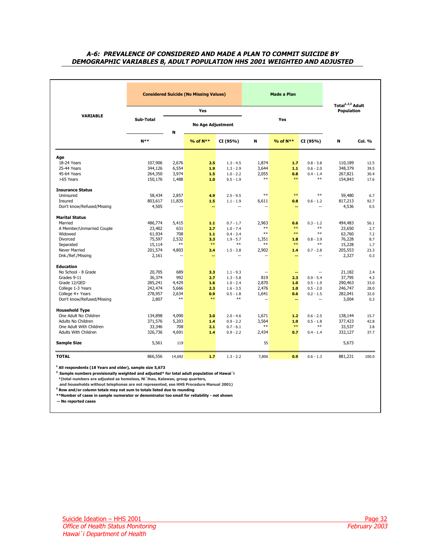### <span id="page-31-1"></span><span id="page-31-0"></span>**A-6: PREVALENCE OF CONSIDERED AND MADE A PLAN TO COMMIT SUICIDE BY DEMOGRAPHIC VARIABLES B, ADULT POPULATION HHS 2001 WEIGHTED AND ADJUSTED**

|                             | <b>Considered Suicide (No Missing Values)</b> |              |                          |                            |                          | <b>Made a Plan</b>                                |                            |                   |             |  |
|-----------------------------|-----------------------------------------------|--------------|--------------------------|----------------------------|--------------------------|---------------------------------------------------|----------------------------|-------------------|-------------|--|
|                             | <b>Yes</b>                                    |              |                          |                            |                          | Total <sup>1,2,3</sup> Adult<br><b>Population</b> |                            |                   |             |  |
| <b>VARIABLE</b>             | Sub-Total                                     |              | <b>No Age Adjustment</b> |                            |                          | Yes                                               |                            |                   |             |  |
|                             | $N**$                                         | N            | % of N**                 | CI (95%)                   | N                        | % of N**                                          | CI (95%)                   | N                 | Col. %      |  |
| Age                         |                                               |              |                          |                            |                          |                                                   |                            |                   |             |  |
| 18-24 Years                 | 107,906                                       | 2,676        | 2.5                      | $1.3 - 4.5$                | 1,874                    | 1.7                                               | $0.8 - 3.8$                | 110,189           | 12.5        |  |
| 25-44 Years                 | 344,126                                       | 6,554        | 1.9                      | $1.3 - 2.9$                | 3,644                    | 1.1                                               | $0.6 - 2.0$                | 348,379           | 39.5        |  |
| 45-64 Years                 | 264,350                                       | 3,974        | 1.5                      | $1.0 - 2.2$                | 2,055                    | 0.8                                               | $0.4 - 1.4$                | 267,821           | 30.4        |  |
| >65 Years                   | 150,176                                       | 1,488        | 1.0                      | $0.5 - 1.9$                | $**$                     | $**$                                              | $**$                       | 154,843           | 17.6        |  |
| <b>Insurance Status</b>     |                                               |              |                          |                            |                          |                                                   |                            |                   |             |  |
| Uninsured                   | 58,434                                        | 2,857        | 4.9                      | $2.5 - 9.5$                | $**$                     | $**$                                              | $**$                       | 59,480            | 6.7         |  |
| Insured                     | 803,617                                       | 11,835       | 1.5                      | $1.1 - 1.9$                | 6,611                    | 0.8                                               | $0.6 - 1.2$                | 817,213           | 92.7        |  |
| Don't know/Refused/Missing  | 4,505                                         |              | --                       | $\overline{a}$             |                          | --                                                |                            | 4,536             | 0.5         |  |
| <b>Marital Status</b>       |                                               |              |                          |                            |                          |                                                   |                            |                   |             |  |
| Married                     | 486,774                                       | 5,415        | 1.1                      | $0.7 - 1.7$                | 2,963                    | 0.6                                               | $0.3 - 1.2$                | 494,483           | 56.1        |  |
| A Member/Unmarried Couple   | 23,402                                        | 631          | 2.7                      | $1.0 - 7.4$                | $**$                     | $**$                                              | $**$                       | 23,650            | 2.7         |  |
| Widowed                     | 61,934                                        | 708          | 1.1                      | $0.4 - 3.4$                | $**$                     | $**$                                              | $**$                       | 63,760            | 7.2         |  |
| Divorced                    | 75,597                                        | 2,532        | 3.3                      | $1.9 - 5.7$                | 1,351                    | 1.8                                               | $0.8 - 3.9$<br>$**$        | 76,228            | 8.7         |  |
| Separated                   | 15,114                                        | $**$         | $**$                     | $**$                       | $**$                     | $**$                                              |                            | 15,228            | 1.7         |  |
| Never Married               | 201,574                                       | 4,803        | 2.4                      | $1.5 - 3.8$                | 2,902                    | 1.4                                               | $0.7 - 2.8$                | 205,553           | 23.3        |  |
| Dnk./Ref./Missing           | 2,161                                         | Ξ.           | ۰.                       |                            |                          | 44                                                |                            | 2,327             | 0.3         |  |
| <b>Education</b>            |                                               |              |                          |                            |                          |                                                   |                            |                   |             |  |
| No School - 8 Grade         | 20,705                                        | 689          | 3.3                      | $1.1 - 9.3$                | $\overline{\phantom{a}}$ | $\sim$                                            | $\overline{\phantom{a}}$   | 21,182            | 2.4         |  |
| Grades 9-11<br>Grade 12/GED | 36,374                                        | 992<br>4,429 | 2.7<br>1.6               | $1.3 - 5.8$<br>$1.0 - 2.4$ | 819                      | 2.3<br>1.0                                        | $0.9 - 5.4$<br>$0.5 - 1.9$ | 37,795<br>290,463 | 4.3<br>33.0 |  |
| College 1-3 Years           | 285,241<br>242,474                            | 5,666        | 2.3                      | $1.6 - 3.5$                | 2,870<br>2,476           | 1.0                                               | $0.5 - 2.0$                | 246,747           | 28.0        |  |
| College 4+ Years            | 278,957                                       | 2,634        | 0.9                      | $0.5 - 1.8$                | 1,641                    | 0.6                                               | $0.2 - 1.5$                | 282,041           | 32.0        |  |
| Don't know/Refused/Missing  | 2,807                                         | $**$         | $***$                    | $**$                       | $\sim$                   | ۰.                                                | $\sim$                     | 3,004             | 0.3         |  |
| <b>Household Type</b>       |                                               |              |                          |                            |                          |                                                   |                            |                   |             |  |
| One Adult No Children       | 134,898                                       | 4,090        | 3.0                      | $2.0 - 4.6$                | 1,671                    | 1.2                                               | $0.6 - 2.5$                | 138,144           | 15.7        |  |
| Adults No Children          | 371,576                                       | 5,203        | 1.4                      | $0.9 - 2.2$                | 3,564                    | 1.0                                               | $0.5 - 1.8$                | 377,423           | 42.8        |  |
| One Adult With Children     | 33,346                                        | 708          | 2.1                      | $0.7 - 6.1$                | $**$                     | $**$                                              | $**$                       | 33,537            | 3.8         |  |
| Adults With Children        | 326,736                                       | 4,691        | 1.4                      | $0.9 - 2.2$                | 2,434                    | 0.7                                               | $0.4 - 1.4$                | 332,127           | 37.7        |  |
| <b>Sample Size</b>          | 5,561                                         | 119          |                          |                            | 55                       |                                                   |                            | 5,673             |             |  |
| <b>TOTAL</b>                | 866,556                                       | 14,692       | 1.7                      | $1.3 - 2.2$                | 7,806                    | 0.9                                               | $0.6 - 1.3$                | 881,231           | 100.0       |  |

**1 All respondents (18 Years and older), sample size 5,673**

**2 Sample numbers provisionally weighted and adjusted\* for total adult population of Hawai`i \*(total numbers are adjusted as homeless, Ni`ihau, Kalawao, group quarters,**

 **and households without telephones are not represented, see HHS Procedure Manual 2001)**

**3 Row and/or column totals may not sum to totals listed due to rounding** 

**\*\*Number of cases in sample numerator or denominator too small for reliability - not shown** 

**-- No reported cases**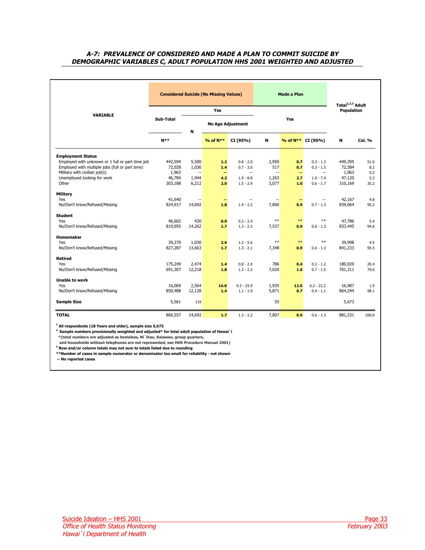### <span id="page-32-1"></span><span id="page-32-0"></span>**A-7: PREVALENCE OF CONSIDERED AND MADE A PLAN TO COMMIT SUICIDE BY DEMOGRAPHIC VARIABLES C, ADULT POPULATION HHS 2001 WEIGHTED AND ADJUSTED**

|                                                  |           |                               | <b>Considered Suicide (No Missing Values)</b> |                          | Made a Plan<br>Total <sup>1,2,3</sup> Adult |                |                               |            |        |  |
|--------------------------------------------------|-----------|-------------------------------|-----------------------------------------------|--------------------------|---------------------------------------------|----------------|-------------------------------|------------|--------|--|
| <b>VARIABLE</b>                                  |           |                               | Yes                                           |                          |                                             |                |                               | Population |        |  |
|                                                  | Sub-Total | <b>No Age Adjustment</b><br>N |                                               |                          |                                             | Yes            |                               |            |        |  |
|                                                  | $N**$     |                               | % of N**                                      | CI (95%)                 | N                                           |                | % of N <sup>**</sup> CI (95%) | N          | Col. % |  |
| <b>Employment Status</b>                         |           |                               |                                               |                          |                                             |                |                               |            |        |  |
| Employed with unknown or 1 full or part time job | 442,594   | 5,500                         | 1.2 <sub>1</sub>                              | $0.8 - 2.0$              | 2,950                                       | 0.7            | $0.3 - 1.3$                   | 449,395    | 51.0   |  |
| Employed with multiple jobs (full or part time)  | 72,028    | 1,036                         | 1.4                                           | $0.7 - 3.0$              | 517                                         | 0.7            | $0.3 - 1.5$                   | 72,584     | 8.2    |  |
| Military with civilian job(s)                    | 1,963     | $\mathbf{u}$                  | $\sim$                                        | $\overline{\phantom{a}}$ | $\mathbf{u}$                                | $\overline{a}$ | $\mathcal{L}_{\mathcal{A}}$   | 1,963      | 0.2    |  |
| Unemployed looking for work                      | 46,784    | 1,944                         | 4.2                                           | $1.9 - 8.8$              | 1,263                                       | 2.7            | $1.0 - 7.4$                   | 47,120     | 5.3    |  |
| Other                                            | 303,188   | 6,212                         | 2.0                                           | $1.5 - 2.9$              | 3,077                                       | 1.0            | $0.6 - 1.7$                   | 310,169    | 35.2   |  |
|                                                  |           |                               |                                               |                          |                                             |                |                               |            |        |  |
| Military<br>Yes                                  | 41,640    |                               |                                               | $\overline{a}$           | $\overline{a}$                              |                |                               | 42,167     | 4.8    |  |
| No/Don't know/Refused/Missing                    | 824,917   | 14,692                        | --<br>1.8                                     | $1.4 - 2.2$              | 7,806                                       | 0.9            | $0.7 - 1.3$                   | 839,064    | 95.2   |  |
|                                                  |           |                               |                                               |                          |                                             |                |                               |            |        |  |
| <b>Student</b>                                   |           |                               |                                               |                          |                                             |                |                               |            |        |  |
| Yes                                              | 46,602    | 430                           | 0.9                                           | $0.3 - 2.4$              | $**$                                        | $***$          | $**$                          | 47,786     | 5.4    |  |
| No/Don't know/Refused/Missing                    | 819,955   | 14,262                        | 1.7                                           | $1.3 - 2.3$              | 7,537                                       | 0.9            | $0.6 - 1.3$                   | 833,445    | 94.6   |  |
|                                                  |           |                               |                                               |                          |                                             |                |                               |            |        |  |
| <b>Homemaker</b>                                 |           |                               |                                               |                          |                                             |                |                               |            |        |  |
| Yes                                              | 39,270    | 1,030                         | 2.6                                           | $1.2 - 5.6$              | $**$                                        | $**$           | $**$                          | 39,998     | 4.5    |  |
| No/Don't know/Refused/Missing                    | 827,287   | 13,663                        | 1.7                                           | $1.3 - 2.1$              | 7,348                                       | 0.9            | $0.6 - 1.3$                   | 841,233    | 95.5   |  |
| <b>Retired</b>                                   |           |                               |                                               |                          |                                             |                |                               |            |        |  |
| Yes                                              | 175,249   | 2,474                         | 1.4                                           | $0.8 - 2.4$              | 786                                         | 0.4            | $0.2 - 1.2$                   | 180,020    | 20.4   |  |
| No/Don't know/Refused/Missing                    | 691,307   | 12,218                        | 1.8                                           | $1.3 - 2.3$              | 7,020                                       | 1.0            | $0.7 - 1.5$                   | 701,211    | 79.6   |  |
|                                                  |           |                               |                                               |                          |                                             |                |                               |            |        |  |
| <b>Unable to work</b>                            |           |                               |                                               |                          |                                             |                |                               |            |        |  |
| Yes                                              | 16,069    | 2,564                         | 16.0                                          | $9.3 - 25.9$             | 1,935                                       | 12.0           | $6.2 - 22.2$                  | 16,987     | 1.9    |  |
| No/Don't know/Refused/Missing                    | 850,488   | 12,128                        | 1.4                                           | $1.1 - 1.9$              | 5,871                                       | 0.7            | $0.4 - 1.1$                   | 864,244    | 98.1   |  |
| <b>Sample Size</b>                               | 5,561     | 119                           |                                               |                          | 55                                          |                |                               | 5,673      |        |  |
| <b>TOTAL</b>                                     | 866,557   | 14,692                        | 1.7                                           | $1.3 - 2.2$              | 7,807                                       | 0.9            | $0.6 - 1.3$                   | 881,231    | 100.0  |  |

**1 All respondents (18 Years and older), sample size 5,673**

**2 Sample numbers provisionally weighted and adjusted\* for total adult population of Hawai`i** 

 **\*(total numbers are adjusted as homeless, Ni`ihau, Kalawao, group quarters,**

 **and households without telephones are not represented, see HHS Procedure Manual 2001)**

**3 Row and/or column totals may not sum to totals listed due to rounding** 

**\*\*Number of cases in sample numerator or denominator too small for reliability - not shown** 

**-- No reported cases**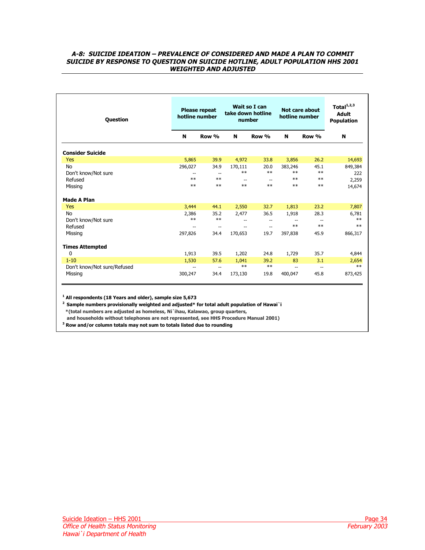### <span id="page-33-1"></span><span id="page-33-0"></span>**A-8: SUICIDE IDEATION – PREVALENCE OF CONSIDERED AND MADE A PLAN TO COMMIT SUICIDE BY RESPONSE TO QUESTION ON SUICIDE HOTLINE, ADULT POPULATION HHS 2001 WEIGHTED AND ADJUSTED**

| <b>Question</b>             | <b>Please repeat</b><br>hotline number |                          | Wait so I can<br>take down hotline<br>number |                          | Not care about<br>hotline number |                          | Total $1,2,3$<br><b>Adult</b><br><b>Population</b> |  |
|-----------------------------|----------------------------------------|--------------------------|----------------------------------------------|--------------------------|----------------------------------|--------------------------|----------------------------------------------------|--|
|                             | N                                      | Row %                    | N                                            | Row %                    | N                                | Row %                    | N                                                  |  |
| <b>Consider Suicide</b>     |                                        |                          |                                              |                          |                                  |                          |                                                    |  |
| Yes                         | 5,865                                  | 39.9                     | 4,972                                        | 33.8                     | 3,856                            | 26.2                     | 14,693                                             |  |
| <b>No</b>                   | 296,027                                | 34.9                     | 170,111                                      | 20.0                     | 383,246                          | 45.1                     | 849,384                                            |  |
| Don't know/Not sure         | $-$                                    | $\overline{\phantom{a}}$ | $**$                                         | $**$                     | $**$                             | $**$                     | 222                                                |  |
| Refused                     | $**$                                   | $**$                     | $\overline{\phantom{a}}$                     | $\overline{a}$           | $**$                             | $**$                     | 2,259                                              |  |
| Missing                     | $**$                                   | $**$                     | $***$                                        | $**$                     | $**$                             | $**$                     | 14,674                                             |  |
| <b>Made A Plan</b>          |                                        |                          |                                              |                          |                                  |                          |                                                    |  |
| Yes                         | 3,444                                  | 44.1                     | 2,550                                        | 32.7                     | 1,813                            | 23.2                     | 7,807                                              |  |
| No                          | 2,386                                  | 35.2                     | 2,477                                        | 36.5                     | 1,918                            | 28.3                     | 6,781                                              |  |
| Don't know/Not sure         | $***$                                  | $**$                     | $\overline{\phantom{a}}$                     | $\overline{a}$           |                                  |                          | $**$                                               |  |
| Refused                     | $-$                                    | $\overline{a}$           | $\overline{\phantom{a}}$                     | $\overline{\phantom{a}}$ | $**$                             | $**$                     | $**$                                               |  |
| Missing                     | 297,826                                | 34.4                     | 170,653                                      | 19.7                     | 397,838                          | 45.9                     | 866,317                                            |  |
| <b>Times Attempted</b>      |                                        |                          |                                              |                          |                                  |                          |                                                    |  |
| 0                           | 1,913                                  | 39.5                     | 1,202                                        | 24.8                     | 1,729                            | 35.7                     | 4,844                                              |  |
| $1 - 10$                    | 1,530                                  | 57.6                     | 1,041                                        | 39.2                     | 83                               | 3.1                      | 2,654                                              |  |
| Don't know/Not sure/Refused | $-$                                    | $\overline{\phantom{a}}$ | $**$                                         | $**$                     | $\overline{\phantom{a}}$         | $\overline{\phantom{a}}$ | $**$                                               |  |
| Missing                     | 300,247                                | 34.4                     | 173,130                                      | 19.8                     | 400,047                          | 45.8                     | 873,425                                            |  |

**1 All respondents (18 Years and older), sample size 5,673**

**2 Sample numbers provisionally weighted and adjusted\* for total adult population of Hawai`i \*(total numbers are adjusted as homeless, Ni`ihau, Kalawao, group quarters,**

 **and households without telephones are not represented, see HHS Procedure Manual 2001)**

**3 Row and/or column totals may not sum to totals listed due to rounding**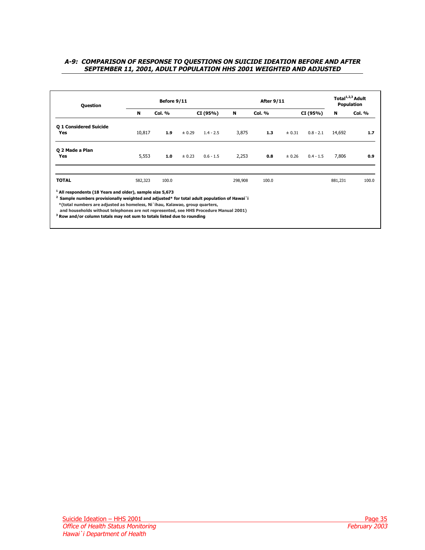### <span id="page-34-1"></span><span id="page-34-0"></span>**A-9: COMPARISON OF RESPONSE TO QUESTIONS ON SUICIDE IDEATION BEFORE AND AFTER SEPTEMBER 11, 2001, ADULT POPULATION HHS 2001 WEIGHTED AND ADJUSTED**

| Before 9/11<br><b>Question</b>                                                                                                                                                                                                                                                                                                                                                                                                       |               |        |             | <b>After 9/11</b> | Total <sup>1,2,3</sup> Adult<br>Population |        |             |         |               |
|--------------------------------------------------------------------------------------------------------------------------------------------------------------------------------------------------------------------------------------------------------------------------------------------------------------------------------------------------------------------------------------------------------------------------------------|---------------|--------|-------------|-------------------|--------------------------------------------|--------|-------------|---------|---------------|
| N                                                                                                                                                                                                                                                                                                                                                                                                                                    | <b>Col. %</b> |        | CI (95%)    | N                 | <b>Col. %</b>                              |        | CI (95%)    | N       | <b>Col. %</b> |
| Q 1 Considered Suicide<br>10,817                                                                                                                                                                                                                                                                                                                                                                                                     | 1.9           | ± 0.29 | $1.4 - 2.5$ | 3,875             | 1.3                                        | ± 0.31 | $0.8 - 2.1$ | 14,692  | 1.7           |
| Q 2 Made a Plan<br>5,553                                                                                                                                                                                                                                                                                                                                                                                                             | 1.0           | ± 0.23 | $0.6 - 1.5$ | 2,253             | 0.8                                        | ± 0.26 | $0.4 - 1.5$ | 7,806   | 0.9           |
| <b>TOTAL</b><br>582,323                                                                                                                                                                                                                                                                                                                                                                                                              | 100.0         |        |             | 298,908           | 100.0                                      |        |             | 881,231 | 100.0         |
| <sup>1</sup> All respondents (18 Years and older), sample size 5,673<br>$2$ Sample numbers provisionally weighted and adjusted* for total adult population of Hawai`i<br>*(total numbers are adjusted as homeless, Ni `ihau, Kalawao, group quarters,<br>and households without telephones are not represented, see HHS Procedure Manual 2001)<br><sup>3</sup> Row and/or column totals may not sum to totals listed due to rounding |               |        |             |                   |                                            |        |             |         |               |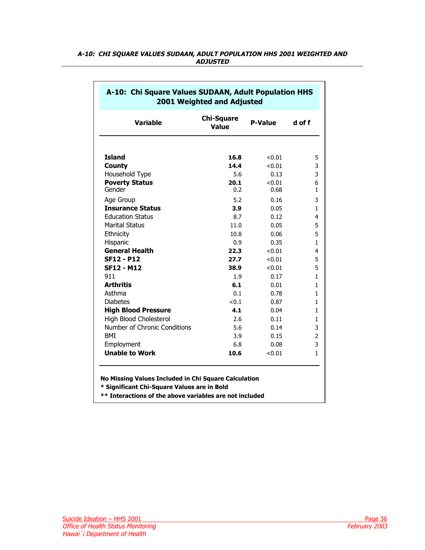| <b>Variable</b>                     | <b>Chi-Square</b><br>Value |                | d of f            |  |
|-------------------------------------|----------------------------|----------------|-------------------|--|
|                                     |                            |                |                   |  |
| <b>Island</b>                       | 16.8                       | < 0.01         | 5                 |  |
| <b>County</b>                       | 14.4                       | < 0.01         | 3                 |  |
| Household Type                      | 5.6                        | 0.13           | 3                 |  |
| <b>Poverty Status</b><br>Gender     | 20.1<br>0.2                | < 0.01<br>0.68 | 6<br>$\mathbf{1}$ |  |
| Age Group                           | 5.2                        | 0.16           | 3                 |  |
| <b>Insurance Status</b>             | 3.9                        | 0.05           | $\mathbf{1}$      |  |
| <b>Education Status</b>             | 8.7                        | 0.12           | 4                 |  |
| <b>Marital Status</b>               | 11.0                       | 0.05           | 5                 |  |
| Ethnicity                           | 10.8                       | 0.06           | 5                 |  |
| Hispanic                            | 0.9                        | 0.35           | $\mathbf{1}$      |  |
| <b>General Health</b>               | 22.3                       | < 0.01         | 4                 |  |
| <b>SF12 - P12</b>                   | 27.7                       | < 0.01         | 5                 |  |
| <b>SF12 - M12</b>                   | 38.9                       | < 0.01         | 5                 |  |
| 911                                 | 1.9                        | 0.17           | $\mathbf{1}$      |  |
| <b>Arthritis</b>                    | 6.1                        | 0.01           | $\mathbf{1}$      |  |
| Asthma                              | 0.1                        | 0.78           | $\mathbf{1}$      |  |
| <b>Diabetes</b>                     | < 0.1                      | 0.87           | $\mathbf{1}$      |  |
| <b>High Blood Pressure</b>          | 4.1                        | 0.04           | $\mathbf{1}$      |  |
| High Blood Cholesterol              | 2.6                        | 0.11           | $\mathbf{1}$      |  |
| Number of Chronic Conditions        | 5.6                        | 0.14           | 3                 |  |
| <b>BMI</b>                          | 3.9                        | 0.15           | $\overline{2}$    |  |
| Employment<br><b>Unable to Work</b> | 6.8<br>10.6                | 0.08<br>< 0.01 | 3<br>1            |  |

# <span id="page-35-1"></span><span id="page-35-0"></span>**A-10: CHI SQUARE VALUES SUDAAN, ADULT POPULATION HHS 2001 WEIGHTED AND ADJUSTED**

# **No Missing Values Included in Chi Square Calculation**

**\* Significant Chi-Square Values are in Bold**

**\*\* Interactions of the above variables are not included**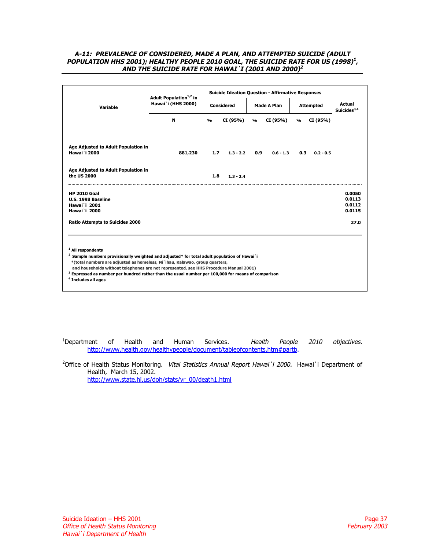### <span id="page-36-2"></span><span id="page-36-1"></span><span id="page-36-0"></span>**A-11: PREVALENCE OF CONSIDERED, MADE A PLAN, AND ATTEMPTED SUICIDE (ADULT POPULATION HHS 2001); HEALTHY PEOPLE 2010 GOAL, THE SUICIDE RATE FOR US (1998)<sup>1</sup>, AND THE SUICIDE RATE FOR HAWAI`I (2001 AND 2000)<sup>2</sup>**

|                                                                                                                                                                                                                                                                                                                                                                                                                                                           | Adult Population <sup>1,2</sup> in |               |                                  |               | <b>Suicide Ideation Question - Affirmative Responses</b> |                                |                                 |                                      |  |
|-----------------------------------------------------------------------------------------------------------------------------------------------------------------------------------------------------------------------------------------------------------------------------------------------------------------------------------------------------------------------------------------------------------------------------------------------------------|------------------------------------|---------------|----------------------------------|---------------|----------------------------------------------------------|--------------------------------|---------------------------------|--------------------------------------|--|
| Variable                                                                                                                                                                                                                                                                                                                                                                                                                                                  | <b>Hawai</b> 'i (HHS 2000)         |               | <b>Considered</b><br>Made A Plan |               |                                                          | <b>Attempted</b>               | <b>Actual</b><br>Suicides $3,4$ |                                      |  |
|                                                                                                                                                                                                                                                                                                                                                                                                                                                           | N                                  | $\frac{0}{0}$ | CI (95%)                         | $\frac{0}{0}$ | CI (95%)                                                 | CI (95%)<br>$\frac{0}{\alpha}$ |                                 |                                      |  |
| Age Adjusted to Adult Population in<br><b>Hawai</b> `i 2000                                                                                                                                                                                                                                                                                                                                                                                               | 881,230                            | 1.7           | $1.3 - 2.2$                      | 0.9           | $0.6 - 1.3$                                              | 0.3                            | $0.2 - 0.5$                     |                                      |  |
| Age Adjusted to Adult Population in<br>the US 2000                                                                                                                                                                                                                                                                                                                                                                                                        |                                    | 1.8           | $1.3 - 2.4$                      |               |                                                          |                                |                                 |                                      |  |
| <b>HP 2010 Goal</b><br>U.S. 1998 Baseline<br><b>Hawai</b> 'i 2001<br><b>Hawai</b> 'i 2000                                                                                                                                                                                                                                                                                                                                                                 |                                    |               |                                  |               |                                                          |                                |                                 | 0.0050<br>0.0113<br>0.0112<br>0.0115 |  |
| <b>Ratio Attempts to Suicides 2000</b>                                                                                                                                                                                                                                                                                                                                                                                                                    |                                    |               |                                  |               |                                                          |                                |                                 | 27.0                                 |  |
| <sup>1</sup> All respondents<br><sup>2</sup> Sample numbers provisionally weighted and adjusted* for total adult population of Hawai`i<br>*(total numbers are adjusted as homeless, Ni `ihau, Kalawao, group quarters,<br>and households without telephones are not represented, see HHS Procedure Manual 2001)<br>$3$ Expressed as number per hundred rather than the usual number per 100,000 for means of comparison<br><sup>4</sup> Includes all ages |                                    |               |                                  |               |                                                          |                                |                                 |                                      |  |

<sup>1</sup>Department of Health and Human Services. Health People 2010 objectives. [http://www.health.gov/healthypeople/document/tableofcontents.htm#partb.](http://www.health.gov/healthypeople/document/tableofcontents.htm#partb) 

<sup>2</sup>Office of Health Status Monitoring. Vital Statistics Annual Report Hawai`i 2000. Hawai`i Department of Health, March 15, 2002. [http://www.state.hi.us/doh/stats/vr\\_00/death1.html](http://www.state.hi.us/doh/stats/vr_00/death1.html)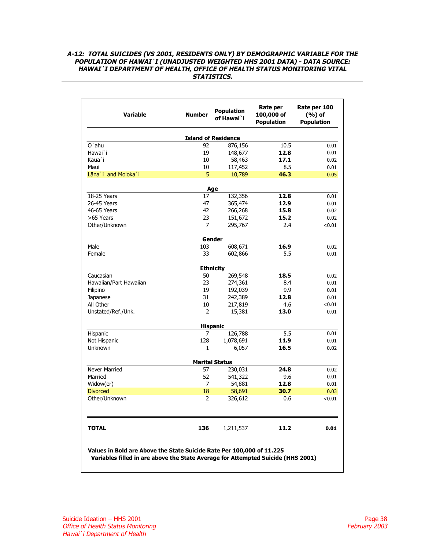## <span id="page-37-1"></span><span id="page-37-0"></span>**A-12: TOTAL SUICIDES (VS 2001, RESIDENTS ONLY) BY DEMOGRAPHIC VARIABLE FOR THE POPULATION OF HAWAI`I (UNADJUSTED WEIGHTED HHS 2001 DATA) - DATA SOURCE: HAWAI`I DEPARTMENT OF HEALTH, OFFICE OF HEALTH STATUS MONITORING VITAL STATISTICS.**

| Variable                                                                                                                                                  | <b>Number</b> | <b>Population</b><br>of Hawai`i | Rate per<br>100,000 of<br><b>Population</b> | Rate per 100<br>$(%)$ of<br><b>Population</b> |  |  |  |  |  |
|-----------------------------------------------------------------------------------------------------------------------------------------------------------|---------------|---------------------------------|---------------------------------------------|-----------------------------------------------|--|--|--|--|--|
| <b>Island of Residence</b>                                                                                                                                |               |                                 |                                             |                                               |  |  |  |  |  |
| $O$ `ahu                                                                                                                                                  | 92            | 876,156                         | 10.5                                        | 0.01                                          |  |  |  |  |  |
| Hawai`i                                                                                                                                                   | 19            | 148,677                         | 12.8                                        | 0.01                                          |  |  |  |  |  |
| Kaua`i                                                                                                                                                    | 10            | 58,463                          | 17.1                                        | 0.02                                          |  |  |  |  |  |
| Maui                                                                                                                                                      | 10            | 117,452                         | 8.5                                         | 0.01                                          |  |  |  |  |  |
| Lāna`i and Moloka`i                                                                                                                                       | 5             | 10,789                          | 46.3                                        | 0.05                                          |  |  |  |  |  |
|                                                                                                                                                           |               | Age                             |                                             |                                               |  |  |  |  |  |
| 18-25 Years                                                                                                                                               | 17            | 132,356                         | 12.8                                        | 0.01                                          |  |  |  |  |  |
| 26-45 Years                                                                                                                                               | 47            | 365,474                         | 12.9                                        | 0.01                                          |  |  |  |  |  |
| 46-65 Years                                                                                                                                               | 42            | 266,268                         | 15.8                                        | 0.02                                          |  |  |  |  |  |
| >65 Years                                                                                                                                                 | 23            | 151,672                         | 15.2                                        | 0.02                                          |  |  |  |  |  |
| Other/Unknown                                                                                                                                             | 7             | 295,767                         | 2.4                                         | < 0.01                                        |  |  |  |  |  |
|                                                                                                                                                           |               | Gender                          |                                             |                                               |  |  |  |  |  |
| Male                                                                                                                                                      | 103           | 608,671                         | 16.9                                        | 0.02                                          |  |  |  |  |  |
| Female                                                                                                                                                    | 33            | 602,866                         | 5.5                                         | 0.01                                          |  |  |  |  |  |
| <b>Ethnicity</b>                                                                                                                                          |               |                                 |                                             |                                               |  |  |  |  |  |
| Caucasian                                                                                                                                                 | 50            | 269,548                         | 18.5                                        | 0.02                                          |  |  |  |  |  |
| Hawaiian/Part Hawaiian                                                                                                                                    | 23            | 274,361                         | 8.4                                         | 0.01                                          |  |  |  |  |  |
| Filipino                                                                                                                                                  | 19            | 192,039                         | 9.9                                         | 0.01                                          |  |  |  |  |  |
| Japanese                                                                                                                                                  | 31            | 242,389                         | 12.8                                        | 0.01                                          |  |  |  |  |  |
| All Other                                                                                                                                                 | 10            | 217,819                         | 4.6                                         | < 0.01                                        |  |  |  |  |  |
| Unstated/Ref./Unk.                                                                                                                                        | 2             | 15,381                          | 13.0                                        | 0.01                                          |  |  |  |  |  |
|                                                                                                                                                           |               | <b>Hispanic</b>                 |                                             |                                               |  |  |  |  |  |
| Hispanic                                                                                                                                                  | 7             | 126,788                         | 5.5                                         | 0.01                                          |  |  |  |  |  |
| Not Hispanic                                                                                                                                              | 128           | 1,078,691                       | 11.9                                        | 0.01                                          |  |  |  |  |  |
| <b>Unknown</b>                                                                                                                                            | 1             | 6,057                           | 16.5                                        | 0.02                                          |  |  |  |  |  |
|                                                                                                                                                           |               | <b>Marital Status</b>           |                                             |                                               |  |  |  |  |  |
| <b>Never Married</b>                                                                                                                                      | 57            | 230,031                         | 24.8                                        | 0.02                                          |  |  |  |  |  |
| Married                                                                                                                                                   | 52            | 541,322                         | 9.6                                         | 0.01                                          |  |  |  |  |  |
| Widow(er)                                                                                                                                                 | 7             | 54,881                          | 12.8                                        | 0.01                                          |  |  |  |  |  |
| <b>Divorced</b>                                                                                                                                           | 18            | 58,691                          | 30.7                                        | 0.03                                          |  |  |  |  |  |
| Other/Unknown                                                                                                                                             | 2             | 326,612                         | 0.6                                         | < 0.01                                        |  |  |  |  |  |
| <b>TOTAL</b>                                                                                                                                              | 136           | 1,211,537                       | 11.2                                        | 0.01                                          |  |  |  |  |  |
| Values in Bold are Above the State Suicide Rate Per 100,000 of 11.225<br>Variables filled in are above the State Average for Attempted Suicide (HHS 2001) |               |                                 |                                             |                                               |  |  |  |  |  |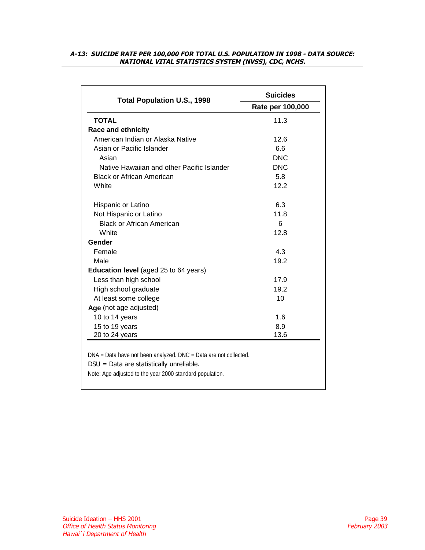# <span id="page-38-1"></span><span id="page-38-0"></span>**A-13: SUICIDE RATE PER 100,000 FOR TOTAL U.S. POPULATION IN 1998 - DATA SOURCE: NATIONAL VITAL STATISTICS SYSTEM (NVSS), CDC, NCHS.**

| <b>Total Population U.S., 1998</b>                                                                                                                                       | <b>Suicides</b>  |  |  |  |  |  |
|--------------------------------------------------------------------------------------------------------------------------------------------------------------------------|------------------|--|--|--|--|--|
|                                                                                                                                                                          | Rate per 100,000 |  |  |  |  |  |
| <b>TOTAL</b>                                                                                                                                                             | 11.3             |  |  |  |  |  |
| <b>Race and ethnicity</b>                                                                                                                                                |                  |  |  |  |  |  |
| American Indian or Alaska Native                                                                                                                                         | 12.6             |  |  |  |  |  |
| Asian or Pacific Islander                                                                                                                                                | 6.6              |  |  |  |  |  |
| Asian                                                                                                                                                                    | <b>DNC</b>       |  |  |  |  |  |
| Native Hawaiian and other Pacific Islander                                                                                                                               | <b>DNC</b>       |  |  |  |  |  |
| <b>Black or African American</b>                                                                                                                                         | 5.8              |  |  |  |  |  |
| White                                                                                                                                                                    | 12.2             |  |  |  |  |  |
| Hispanic or Latino                                                                                                                                                       | 6.3              |  |  |  |  |  |
| Not Hispanic or Latino                                                                                                                                                   | 11.8             |  |  |  |  |  |
| <b>Black or African American</b>                                                                                                                                         | 6                |  |  |  |  |  |
| White                                                                                                                                                                    | 12.8             |  |  |  |  |  |
| Gender                                                                                                                                                                   |                  |  |  |  |  |  |
| Female                                                                                                                                                                   | 4.3              |  |  |  |  |  |
| Male                                                                                                                                                                     | 19.2             |  |  |  |  |  |
| <b>Education level</b> (aged 25 to 64 years)                                                                                                                             |                  |  |  |  |  |  |
| Less than high school                                                                                                                                                    | 17.9             |  |  |  |  |  |
| High school graduate                                                                                                                                                     | 19.2             |  |  |  |  |  |
| At least some college                                                                                                                                                    | 10               |  |  |  |  |  |
| Age (not age adjusted)                                                                                                                                                   |                  |  |  |  |  |  |
| 10 to 14 years                                                                                                                                                           | 1.6              |  |  |  |  |  |
| 15 to 19 years                                                                                                                                                           | 8.9              |  |  |  |  |  |
| 20 to 24 years                                                                                                                                                           | 13.6             |  |  |  |  |  |
| DNA = Data have not been analyzed. DNC = Data are not collected.<br>DSU = Data are statistically unreliable.<br>Note: Age adjusted to the year 2000 standard population. |                  |  |  |  |  |  |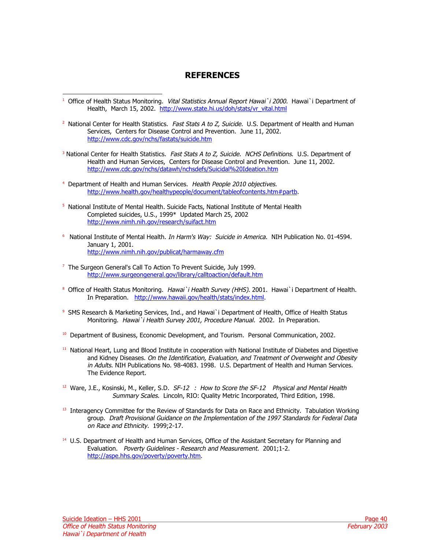# **REFERENCES**

- <span id="page-39-0"></span>j <sup>1</sup> Office of Health Status Monitoring. Vital Statistics Annual Report Hawai`i 2000. Hawai`i Department of Health, March 15, 2002. [http://www.state.hi.us/doh/stats/vr\\_vital.html](http://www.state.hi.us/doh/stats/vr_vital.html)
- <sup>2</sup> National Center for Health Statistics. *Fast Stats A to Z, Suicide.* U.S. Department of Health and Human Services, Centers for Disease Control and Prevention. June 11, 2002. <http://www.cdc.gov/nchs/fastats/suicide.htm>
- <sup>3</sup> National Center for Health Statistics. Fast Stats A to Z, Suicide. NCHS Definitions. U.S. Department of Health and Human Services, Centers for Disease Control and Prevention. June 11, 2002. <http://www.cdc.gov/nchs/datawh/nchsdefs/Suicidal%20Ideation.htm>
- <sup>4</sup> Department of Health and Human Services. Health People 2010 objectives. [http://www.health.gov/healthypeople/document/tableofcontents.htm#partb.](http://www.health.gov/healthypeople/document/tableofcontents.htm#partb)
- 5 National Institute of Mental Health. Suicide Facts, National Institute of Mental Health Completed suicides, U.S., 1999\* Updated March 25, 2002 <http://www.nimh.nih.gov/research/suifact.htm>
- <sup>6</sup> National Institute of Mental Health. *In Harm's Way: Suicide in America*. NIH Publication No. 01-4594. January 1, 2001. <http://www.nimh.nih.gov/publicat/harmaway.cfm>
- <sup>7</sup> The Surgeon General's Call To Action To Prevent Suicide, July 1999. <http://www.surgeongeneral.gov/library/calltoaction/default.htm>
- <sup>8</sup> Office of Health Status Monitoring. Hawai`i Health Survey (HHS). 2001. Hawai`i Department of Health. In Preparation. [http://www.hawaii.gov/health/stats/index.html.](http://www.hawaii.gov/health/stats/index.html)
- 9 SMS Research & Marketing Services, Ind., and Hawai`i Department of Health, Office of Health Status Monitoring. Hawai`i Health Survey 2001, Procedure Manual. 2002. In Preparation.
- <sup>10</sup> Department of Business, Economic Development, and Tourism. Personal Communication, 2002.
- <sup>11</sup> National Heart, Lung and Blood Institute in cooperation with National Institute of Diabetes and Digestive and Kidney Diseases. On the Identification, Evaluation, and Treatment of Overweight and Obesity in Adults. NIH Publications No. 98-4083. 1998. U.S. Department of Health and Human Services. The Evidence Report.
- $12$  Ware, J.E., Kosinski, M., Keller, S.D. SF-12®: How to Score the SF-12® Physical and Mental Health Summary Scales. Lincoln, RIO: Quality Metric Incorporated, Third Edition, 1998.
- <sup>13</sup> Interagency Committee for the Review of Standards for Data on Race and Ethnicity. Tabulation Working group. Draft Provisional Guidance on the Implementation of the 1997 Standards for Federal Data on Race and Ethnicity. 1999;2-17.
- <sup>14</sup> U.S. Department of Health and Human Services, Office of the Assistant Secretary for Planning and Evaluation. Poverty Guidelines - Research and Measurement. 2001;1-2. [http://aspe.hhs.gov/poverty/poverty.htm.](http://aspe.hhs.gov/poverty/poverty.htm)